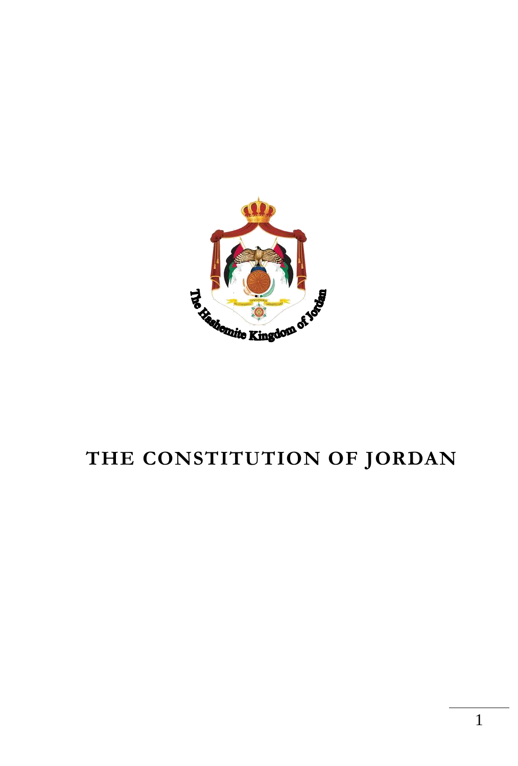

# **THE CONSTITUTION OF JORDAN**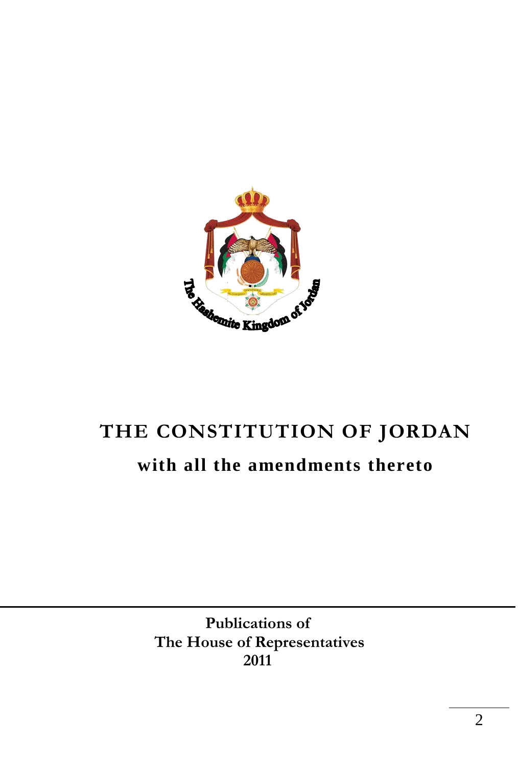

# **THE CONSTITUTION OF JORDAN with all the amendments thereto**

**Publications of The House of Representatives 2011**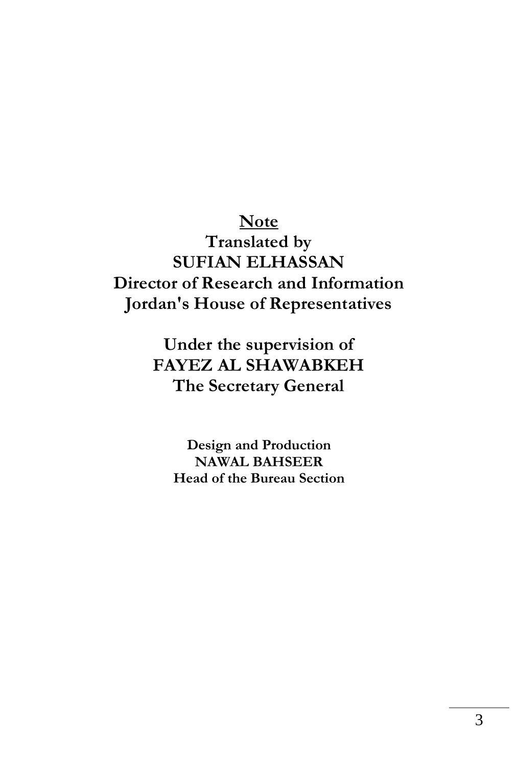### **Note Translated by SUFIAN ELHASSAN Director of Research and Information Jordan's House of Representatives**

**Under the supervision of FAYEZ AL SHAWABKEH The Secretary General** 

**Design and Production NAWAL BAHSEER Head of the Bureau Section**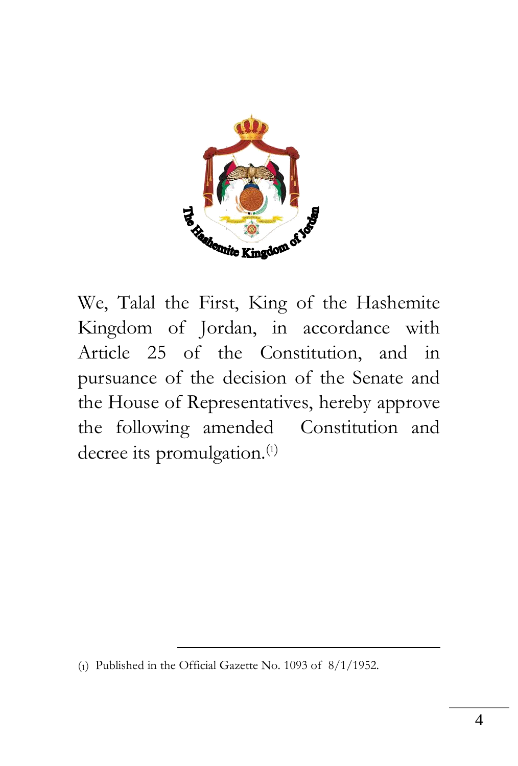

We, Talal the First, King of the Hashemite Kingdom of Jordan, in accordance with Article 25 of the Constitution, and in pursuance of the decision of the Senate and the House of Representatives, hereby approve the following amended Constitution and decree its promulgation.<sup>(1)</sup>

1

<sup>(</sup>1) Published in the Official Gazette No. 1093 of 8/1/1952.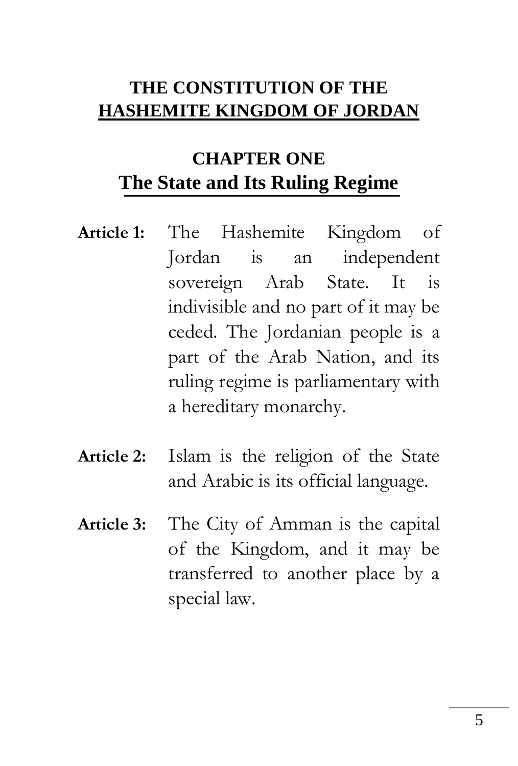## **THE CONSTITUTION OF THE HASHEMITE KINGDOM OF JORDAN**

# **CHAPTER ONE The State and Its Ruling Regime**

- **Article 1:** The Hashemite Kingdom of Jordan is an independent sovereign Arab State. It is indivisible and no part of it may be ceded. The Jordanian people is a part of the Arab Nation, and its ruling regime is parliamentary with a hereditary monarchy.
- **Article 2:** Islam is the religion of the State and Arabic is its official language.
- **Article 3:** The City of Amman is the capital of the Kingdom, and it may be transferred to another place by a special law.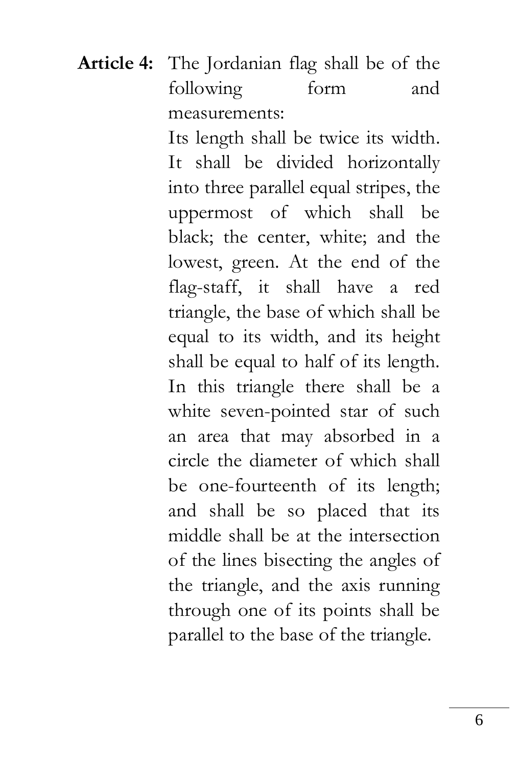**Article 4:** The Jordanian flag shall be of the following form and measurements:

> Its length shall be twice its width. It shall be divided horizontally into three parallel equal stripes, the uppermost of which shall be black; the center, white; and the lowest, green. At the end of the flag-staff, it shall have a red triangle, the base of which shall be equal to its width, and its height shall be equal to half of its length. In this triangle there shall be a white seven-pointed star of such an area that may absorbed in a circle the diameter of which shall be one-fourteenth of its length; and shall be so placed that its middle shall be at the intersection of the lines bisecting the angles of the triangle, and the axis running through one of its points shall be parallel to the base of the triangle.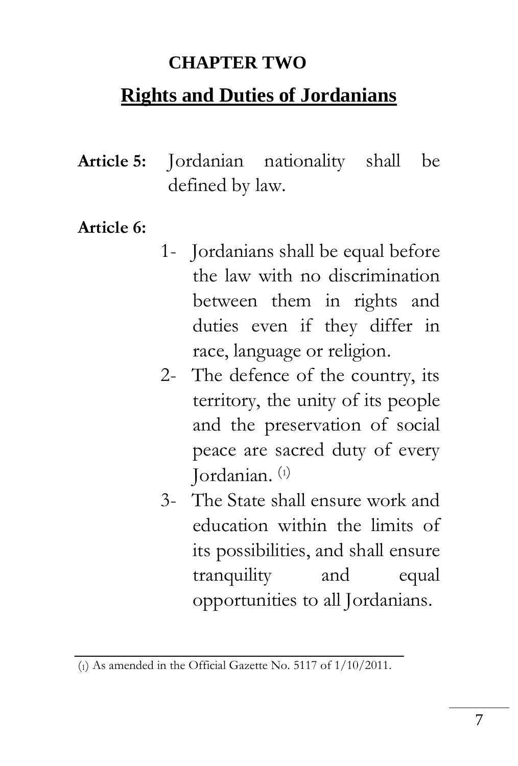#### **CHAPTER TWO**

### **Rights and Duties of Jordanians**

**Article 5:** Jordanian nationality shall be defined by law.

#### **Article 6:**

- 1- Jordanians shall be equal before the law with no discrimination between them in rights and duties even if they differ in race, language or religion.
- 2- The defence of the country, its territory, the unity of its people and the preservation of social peace are sacred duty of every Jordanian. (1)
- 3- The State shall ensure work and education within the limits of its possibilities, and shall ensure tranquility and equal opportunities to all Jordanians.

<sup>(</sup>1) As amended in the Official Gazette No. 5117 of 1/10/2011.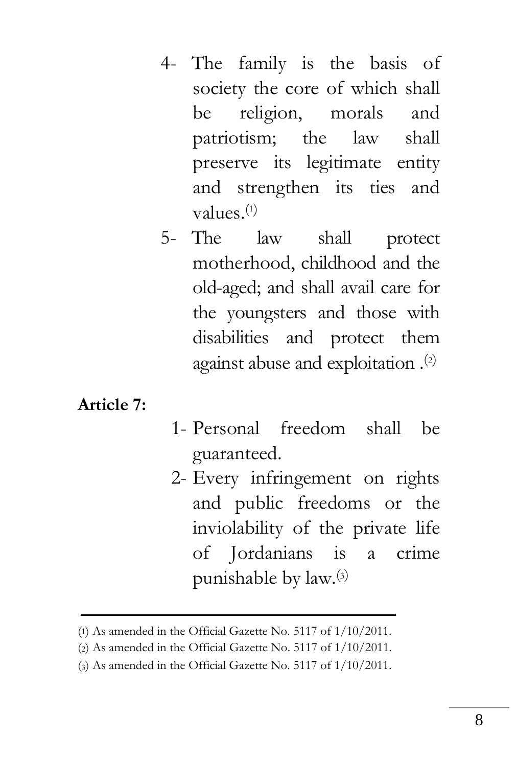- 4- The family is the basis of society the core of which shall be religion, morals and patriotism; the law shall preserve its legitimate entity and strengthen its ties and values. $(1)$
- 5- The law shall protect motherhood, childhood and the old-aged; and shall avail care for the youngsters and those with disabilities and protect them against abuse and exploitation .(2)

#### **Article 7:**

- 1- Personal freedom shall be guaranteed.
- 2- Every infringement on rights and public freedoms or the inviolability of the private life of Jordanians is a crime punishable by law.(3)

<sup>(</sup>1) As amended in the Official Gazette No. 5117 of 1/10/2011.

<sup>(</sup>2) As amended in the Official Gazette No. 5117 of 1/10/2011.

<sup>(</sup>3) As amended in the Official Gazette No. 5117 of 1/10/2011.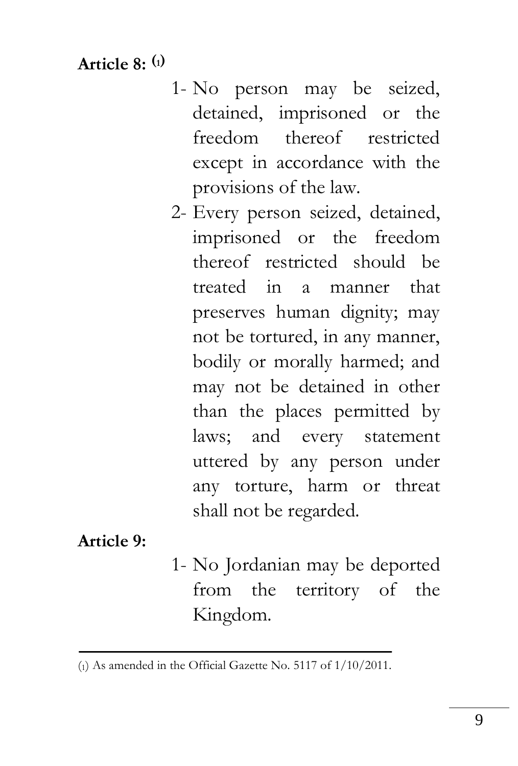**Article 8: (1)**

- 1- No person may be seized, detained, imprisoned or the freedom thereof restricted except in accordance with the provisions of the law.
- 2- Every person seized, detained, imprisoned or the freedom thereof restricted should be treated in a manner that preserves human dignity; may not be tortured, in any manner, bodily or morally harmed; and may not be detained in other than the places permitted by laws; and every statement uttered by any person under any torture, harm or threat shall not be regarded.

**Article 9:**

1- No Jordanian may be deported from the territory of the Kingdom.

<sup>(</sup>1) As amended in the Official Gazette No. 5117 of 1/10/2011.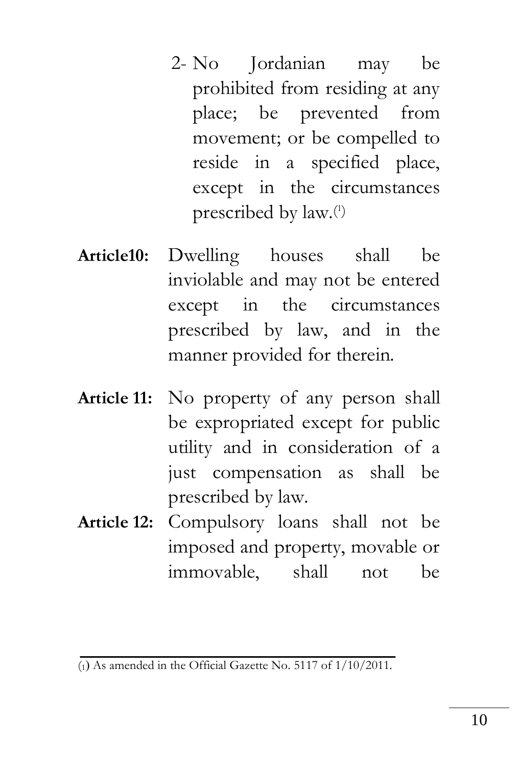- 2- No Jordanian may be prohibited from residing at any place; be prevented from movement; or be compelled to reside in a specified place, except in the circumstances prescribed by law.<sup>(1)</sup>
- **Article10:** Dwelling houses shall be inviolable and may not be entered except in the circumstances prescribed by law, and in the manner provided for therein.
- **Article 11:** No property of any person shall be expropriated except for public utility and in consideration of a just compensation as shall be prescribed by law.
- **Article 12:** Compulsory loans shall not be imposed and property, movable or immovable, shall not be

 $\overline{1}_{10}$  As amended in the Official Gazette No. 5117 of  $1/10/2011$ .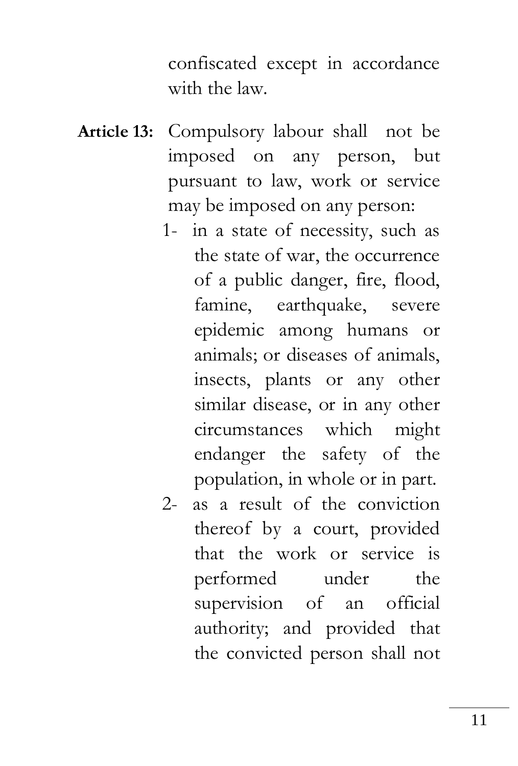confiscated except in accordance with the law.

- **Article 13:** Compulsory labour shall not be imposed on any person, but pursuant to law, work or service may be imposed on any person:
	- 1- in a state of necessity, such as the state of war, the occurrence of a public danger, fire, flood, famine, earthquake, severe epidemic among humans or animals; or diseases of animals, insects, plants or any other similar disease, or in any other circumstances which might endanger the safety of the population, in whole or in part.
	- 2- as a result of the conviction thereof by a court, provided that the work or service is performed under the supervision of an official authority; and provided that the convicted person shall not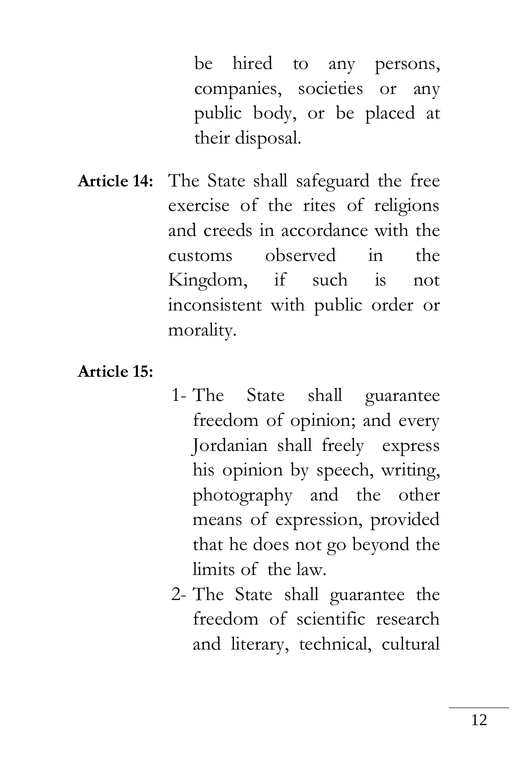be hired to any persons, companies, societies or any public body, or be placed at their disposal.

**Article 14:** The State shall safeguard the free exercise of the rites of religions and creeds in accordance with the customs observed in the Kingdom, if such is not inconsistent with public order or morality.

**Article 15:**

- 1- The State shall guarantee freedom of opinion; and every Jordanian shall freely express his opinion by speech, writing, photography and the other means of expression, provided that he does not go beyond the limits of the law.
- 2- The State shall guarantee the freedom of scientific research and literary, technical, cultural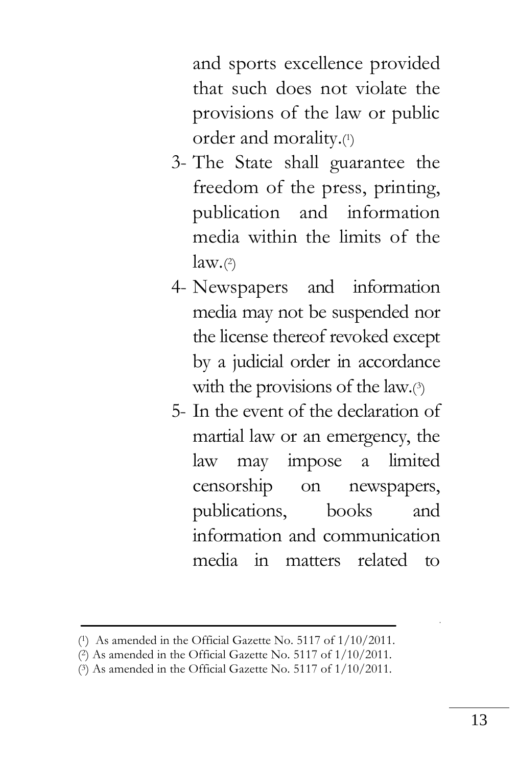and sports excellence provided that such does not violate the provisions of the law or public order and morality.( 1 )

- 3- The State shall guarantee the freedom of the press, printing, publication and information media within the limits of the law.(2)
- 4- Newspapers and information media may not be suspended nor the license thereof revoked except by a judicial order in accordance with the provisions of the law.(3)
- 5- In the event of the declaration of martial law or an emergency, the law may impose a limited censorship on newspapers, publications, books and information and communication media in matters related to

l.

<sup>(</sup> <sup>1</sup>) As amended in the Official Gazette No. 5117 of 1/10/2011.

<sup>(</sup> <sup>2</sup>) As amended in the Official Gazette No. 5117 of 1/10/2011.

<sup>(</sup> <sup>3</sup>) As amended in the Official Gazette No. 5117 of 1/10/2011.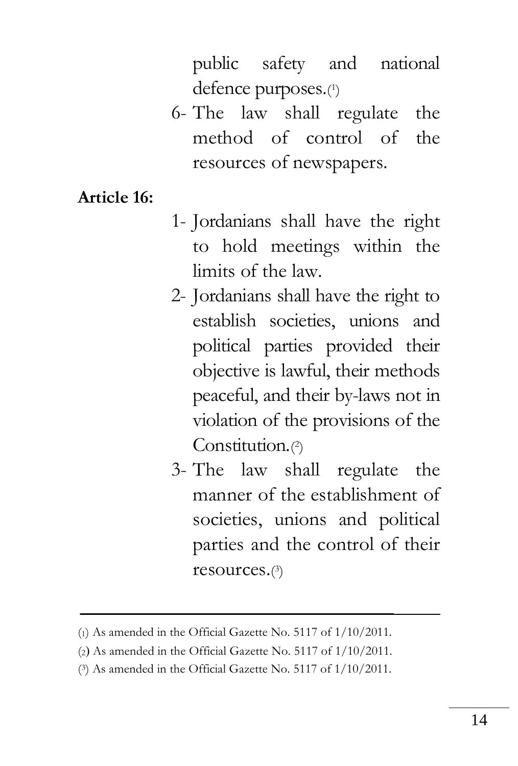public safety and national defence purposes.(1)

6- The law shall regulate the method of control of the resources of newspapers.

**Article 16:**

- 1- Jordanians shall have the right to hold meetings within the limits of the law.
- 2- Jordanians shall have the right to establish societies, unions and political parties provided their objective is lawful, their methods peaceful, and their by-laws not in violation of the provisions of the Constitution.<sup>(2)</sup>
- 3- The law shall regulate the manner of the establishment of societies, unions and political parties and the control of their resources.( 3 )

<sup>(</sup>1) As amended in the Official Gazette No. 5117 of 1/10/2011.

 $(2)$  As amended in the Official Gazette No. 5117 of  $1/10/2011$ .

<sup>(</sup> <sup>3</sup>) As amended in the Official Gazette No. 5117 of 1/10/2011.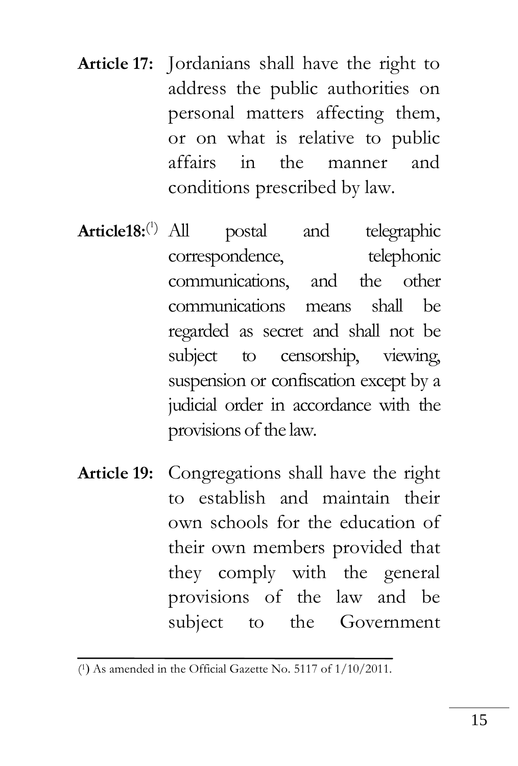- **Article 17:** Jordanians shall have the right to address the public authorities on personal matters affecting them, or on what is relative to public affairs in the manner and conditions prescribed by law.
- **Article18:**( 1 postal and telegraphic correspondence, telephonic communications, and the other communications means shall be regarded as secret and shall not be subject to censorship, viewing, suspension or confiscation except by a judicial order in accordance with the provisions of the law.
- **Article 19:** Congregations shall have the right to establish and maintain their own schools for the education of their own members provided that they comply with the general provisions of the law and be subject to the Government

<sup>(1)</sup> As amended in the Official Gazette No. 5117 of 1/10/2011.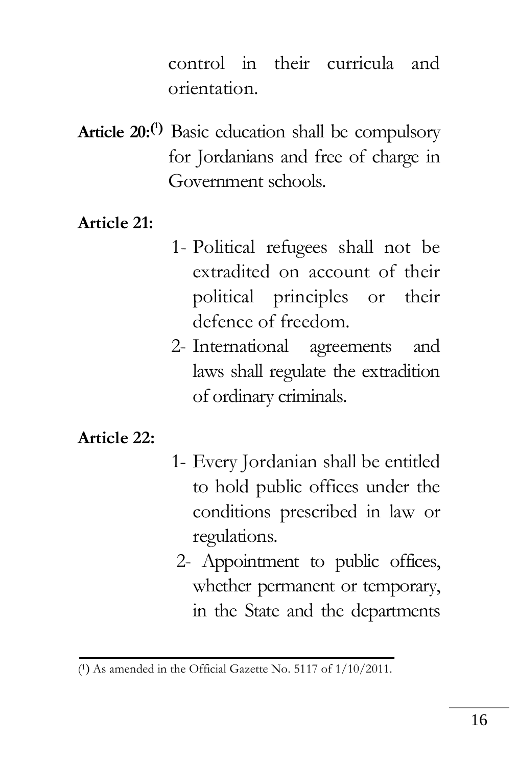control in their curricula and orientation.

**Article 20:( <sup>1</sup>)** Basic education shall be compulsory for Jordanians and free of charge in Government schools.

#### **Article 21:**

- 1- Political refugees shall not be extradited on account of their political principles or their defence of freedom.
- 2- International agreements and laws shall regulate the extradition of ordinary criminals.

#### **Article 22:**

- 1- Every Jordanian shall be entitled to hold public offices under the conditions prescribed in law or regulations.
- 2- Appointment to public offices, whether permanent or temporary, in the State and the departments

<sup>(1)</sup> As amended in the Official Gazette No. 5117 of 1/10/2011.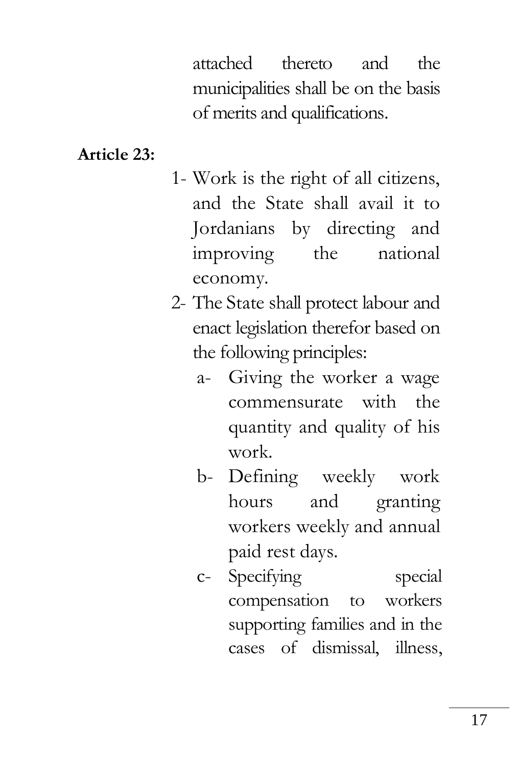attached thereto and the municipalities shall be on the basis of merits and qualifications.

#### **Article 23:**

- 1- Work is the right of all citizens, and the State shall avail it to Jordanians by directing and improving the national economy.
- 2- The State shall protect labour and enact legislation therefor based on the following principles:
	- a- Giving the worker a wage commensurate with the quantity and quality of his work.
	- b- Defining weekly work hours and granting workers weekly and annual paid rest days.
	- c- Specifying special compensation to workers supporting families and in the cases of dismissal, illness,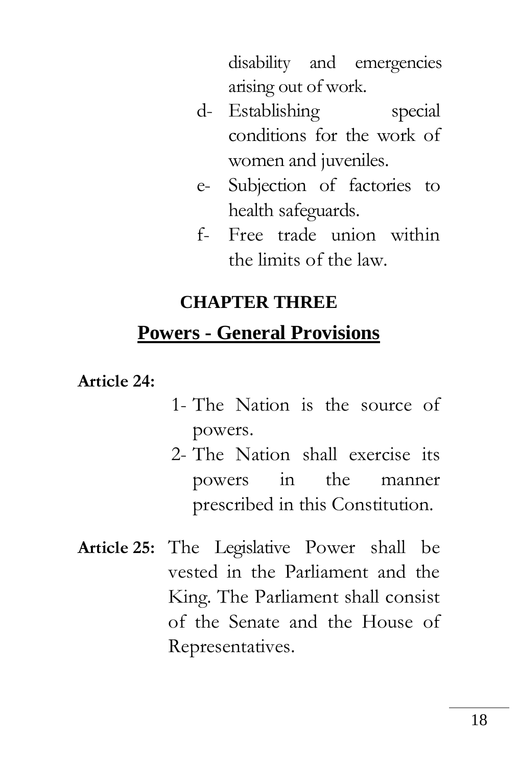disability and emergencies arising out of work.

- d- Establishing special conditions for the work of women and juveniles.
- e- Subjection of factories to health safeguards.
- f- Free trade union within the limits of the law.

## **CHAPTER THREE**

# **Powers - General Provisions**

**Article 24:**

- 1- The Nation is the source of powers.
- 2- The Nation shall exercise its powers in the manner prescribed in this Constitution.
- **Article 25:** The Legislative Power shall be vested in the Parliament and the King. The Parliament shall consist of the Senate and the House of Representatives.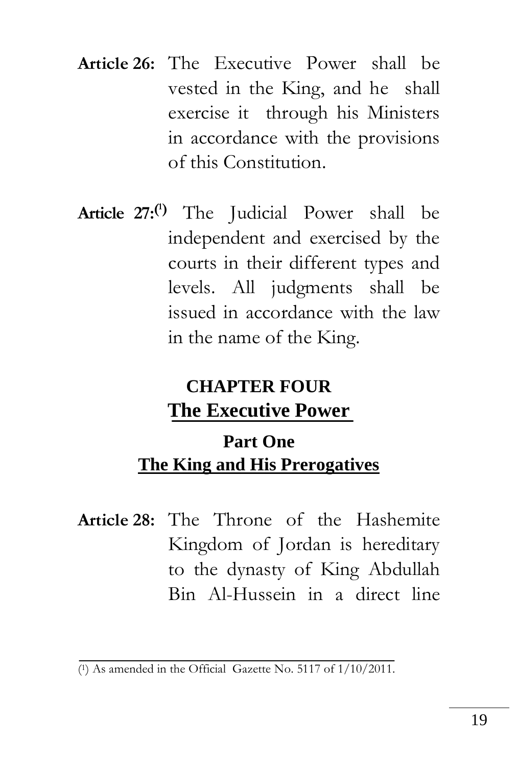- **Article 26:** The Executive Power shall be vested in the King, and he shall exercise it through his Ministers in accordance with the provisions of this Constitution.
- **Article 27:( <sup>1</sup>)** The Judicial Power shall be independent and exercised by the courts in their different types and levels. All judgments shall be issued in accordance with the law in the name of the King.

# **CHAPTER FOUR The Executive Power**

# **Part One The King and His Prerogatives**

**Article 28:** The Throne of the Hashemite Kingdom of Jordan is hereditary to the dynasty of King Abdullah Bin Al-Hussein in a direct line

<sup>(</sup> <sup>1</sup>) As amended in the Official Gazette No. 5117 of 1/10/2011.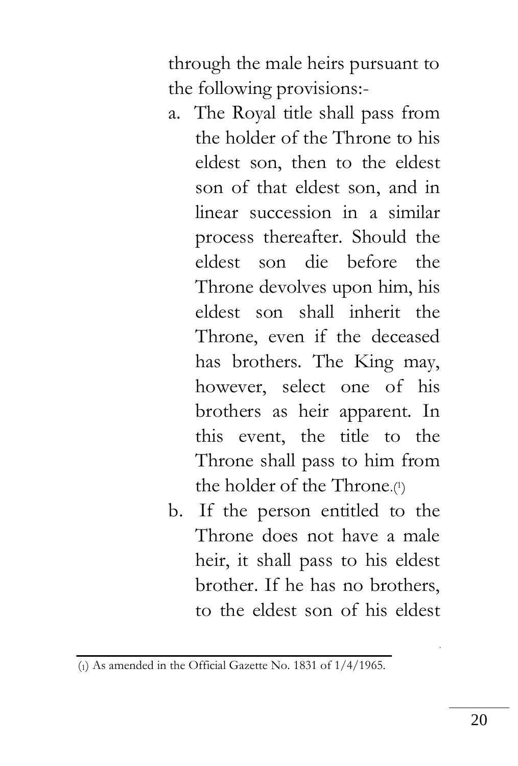through the male heirs pursuant to the following provisions:-

- a. The Royal title shall pass from the holder of the Throne to his eldest son, then to the eldest son of that eldest son, and in linear succession in a similar process thereafter. Should the eldest son die before the Throne devolves upon him, his eldest son shall inherit the Throne, even if the deceased has brothers. The King may, however, select one of his brothers as heir apparent. In this event, the title to the Throne shall pass to him from the holder of the Throne.(1)
- b. If the person entitled to the Throne does not have a male heir, it shall pass to his eldest brother. If he has no brothers, to the eldest son of his eldest

 $\overline{c_1}$  As amended in the Official Gazette No. 1831 of  $1/4/1965$ .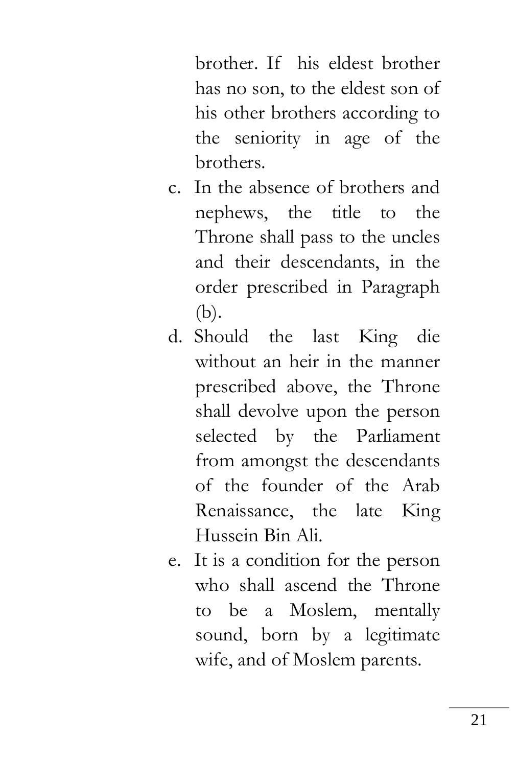brother. If his eldest brother has no son, to the eldest son of his other brothers according to the seniority in age of the brothers.

- c. In the absence of brothers and nephews, the title to the Throne shall pass to the uncles and their descendants, in the order prescribed in Paragraph (b).
- d. Should the last King die without an heir in the manner prescribed above, the Throne shall devolve upon the person selected by the Parliament from amongst the descendants of the founder of the Arab Renaissance, the late King Hussein Bin Ali.
- e. It is a condition for the person who shall ascend the Throne to be a Moslem, mentally sound, born by a legitimate wife, and of Moslem parents.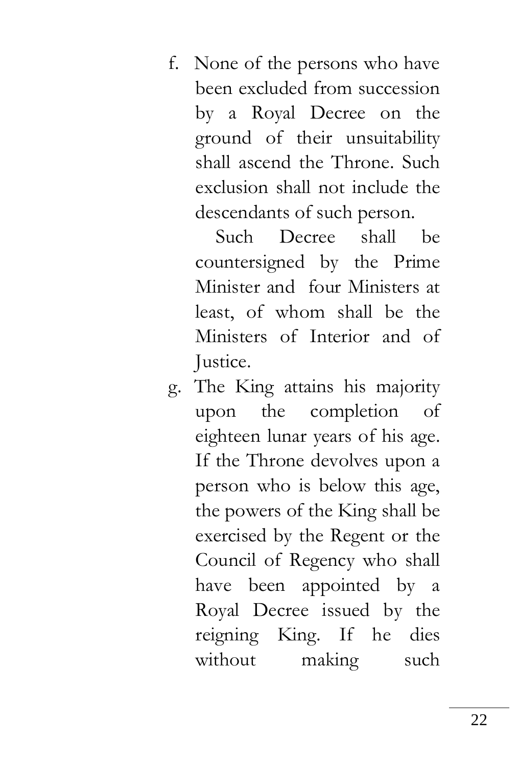f. None of the persons who have been excluded from succession by a Royal Decree on the ground of their unsuitability shall ascend the Throne. Such exclusion shall not include the descendants of such person.

 Such Decree shall be countersigned by the Prime Minister and four Ministers at least, of whom shall be the Ministers of Interior and of Justice.

g. The King attains his majority upon the completion of eighteen lunar years of his age. If the Throne devolves upon a person who is below this age, the powers of the King shall be exercised by the Regent or the Council of Regency who shall have been appointed by a Royal Decree issued by the reigning King. If he dies without making such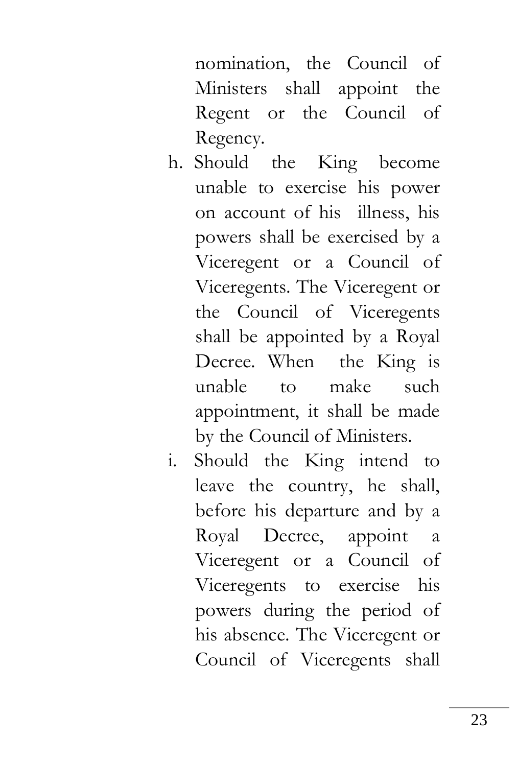nomination, the Council of Ministers shall appoint the Regent or the Council of Regency.

- h. Should the King become unable to exercise his power on account of his illness, his powers shall be exercised by a Viceregent or a Council of Viceregents. The Viceregent or the Council of Viceregents shall be appointed by a Royal Decree. When the King is unable to make such appointment, it shall be made by the Council of Ministers.
- i. Should the King intend to leave the country, he shall, before his departure and by a Royal Decree, appoint a Viceregent or a Council of Viceregents to exercise his powers during the period of his absence. The Viceregent or Council of Viceregents shall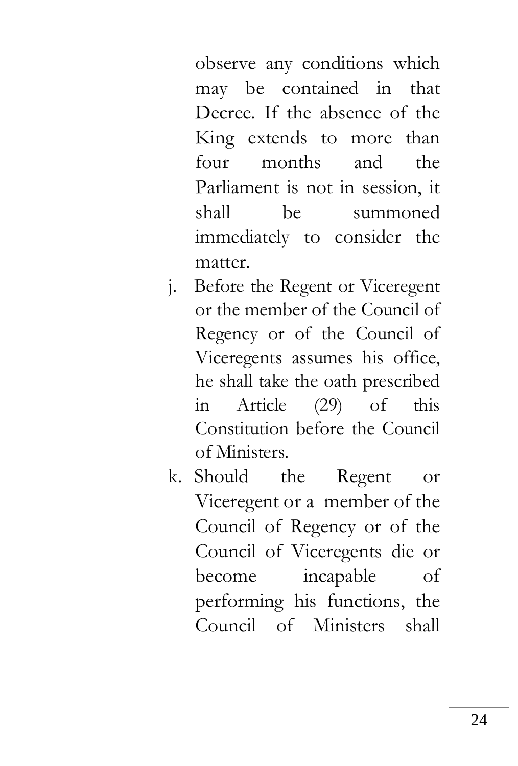observe any conditions which may be contained in that Decree. If the absence of the King extends to more than four months and the Parliament is not in session, it shall be summoned immediately to consider the matter.

- j. Before the Regent or Viceregent or the member of the Council of Regency or of the Council of Viceregents assumes his office, he shall take the oath prescribed in Article (29) of this Constitution before the Council of Ministers.
- k. Should the Regent or Viceregent or a member of the Council of Regency or of the Council of Viceregents die or become incapable of performing his functions, the Council of Ministers shall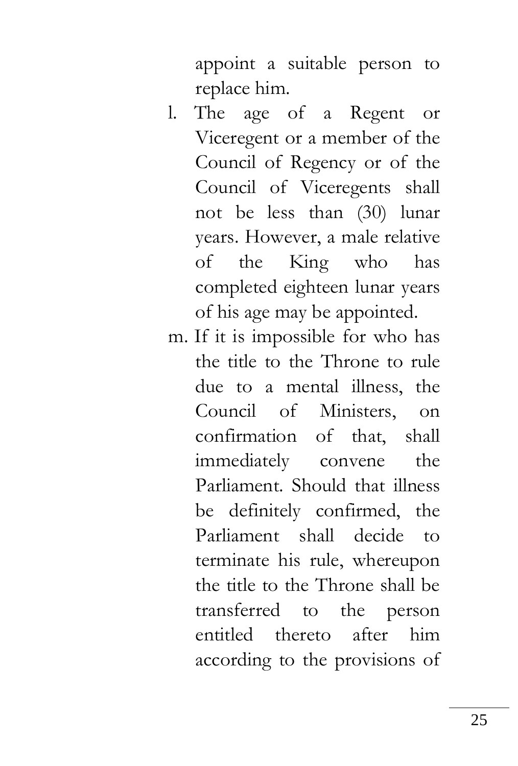appoint a suitable person to replace him.

- l. The age of a Regent or Viceregent or a member of the Council of Regency or of the Council of Viceregents shall not be less than (30) lunar years. However, a male relative of the King who has completed eighteen lunar years of his age may be appointed.
- m. If it is impossible for who has the title to the Throne to rule due to a mental illness, the Council of Ministers, on confirmation of that, shall immediately convene the Parliament. Should that illness be definitely confirmed, the Parliament shall decide to terminate his rule, whereupon the title to the Throne shall be transferred to the person entitled thereto after him according to the provisions of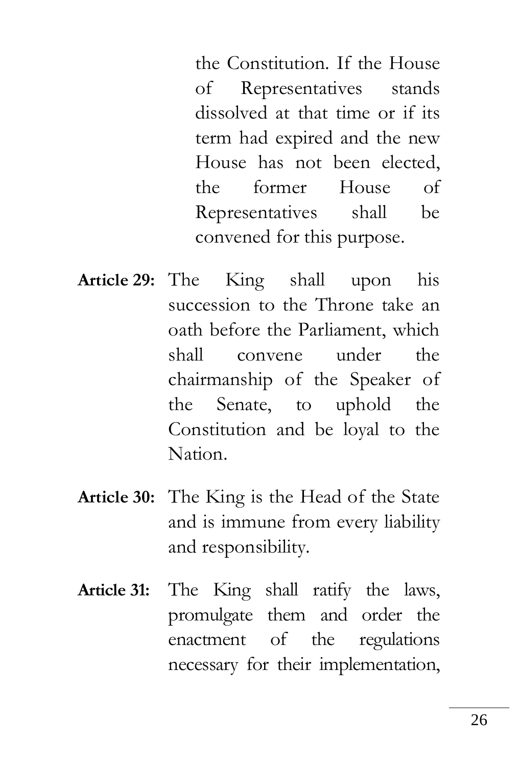the Constitution. If the House of Representatives stands dissolved at that time or if its term had expired and the new House has not been elected, the former House of Representatives shall be convened for this purpose.

- **Article 29:** The King shall upon his succession to the Throne take an oath before the Parliament, which shall convene under the chairmanship of the Speaker of the Senate, to uphold the Constitution and be loyal to the Nation.
- **Article 30:** The King is the Head of the State and is immune from every liability and responsibility.
- **Article 31:** The King shall ratify the laws, promulgate them and order the enactment of the regulations necessary for their implementation,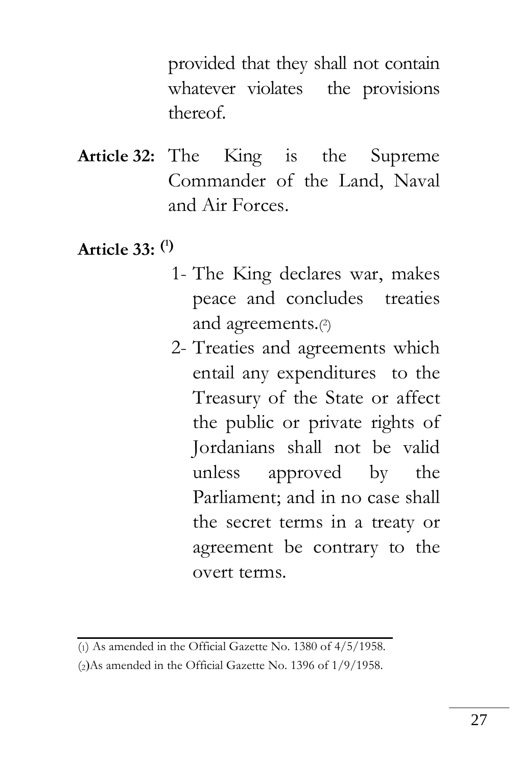provided that they shall not contain whatever violates the provisions thereof.

- **Article 32:** The King is the Supreme Commander of the Land, Naval and Air Forces.
- **Article 33: ( 1)**
	- 1- The King declares war, makes peace and concludes treaties and agreements.( 2 )
	- 2- Treaties and agreements which entail any expenditures to the Treasury of the State or affect the public or private rights of Jordanians shall not be valid unless approved by the Parliament; and in no case shall the secret terms in a treaty or agreement be contrary to the overt terms.

<sup>(</sup>1) As amended in the Official Gazette No. 1380 of 4/5/1958.

 $(2)$ As amended in the Official Gazette No. 1396 of  $1/9/1958$ .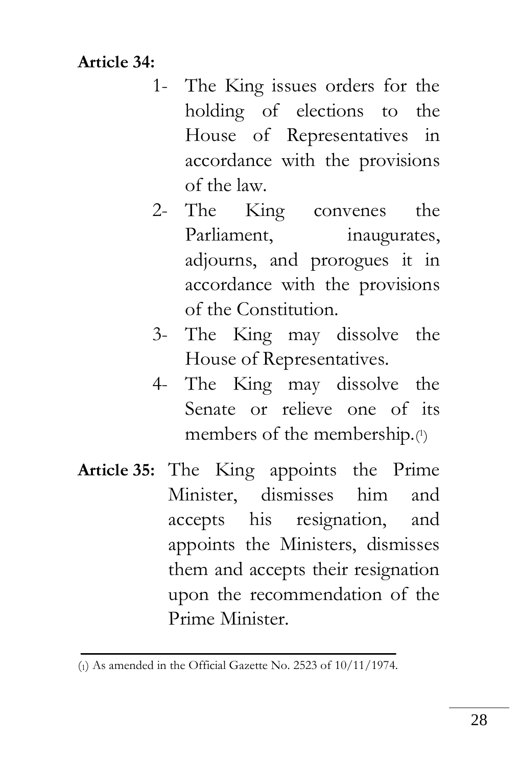**Article 34:**

- 1- The King issues orders for the holding of elections to the House of Representatives in accordance with the provisions of the law.
- 2- The King convenes the Parliament, inaugurates, adjourns, and prorogues it in accordance with the provisions of the Constitution.
- 3- The King may dissolve the House of Representatives.
- 4- The King may dissolve the Senate or relieve one of its members of the membership.( 1 )
- **Article 35:** The King appoints the Prime Minister, dismisses him and accepts his resignation, and appoints the Ministers, dismisses them and accepts their resignation upon the recommendation of the Prime Minister.

<sup>(</sup>1) As amended in the Official Gazette No. 2523 of 10/11/1974.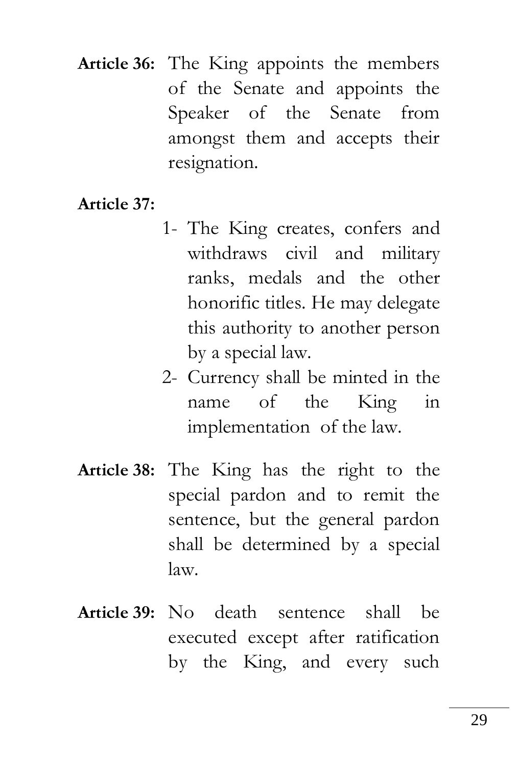**Article 36:** The King appoints the members of the Senate and appoints the Speaker of the Senate from amongst them and accepts their resignation.

**Article 37:**

- 1- The King creates, confers and withdraws civil and military ranks, medals and the other honorific titles. He may delegate this authority to another person by a special law.
- 2- Currency shall be minted in the name of the King in implementation of the law.
- **Article 38:** The King has the right to the special pardon and to remit the sentence, but the general pardon shall be determined by a special law.
- **Article 39:** No death sentence shall be executed except after ratification by the King, and every such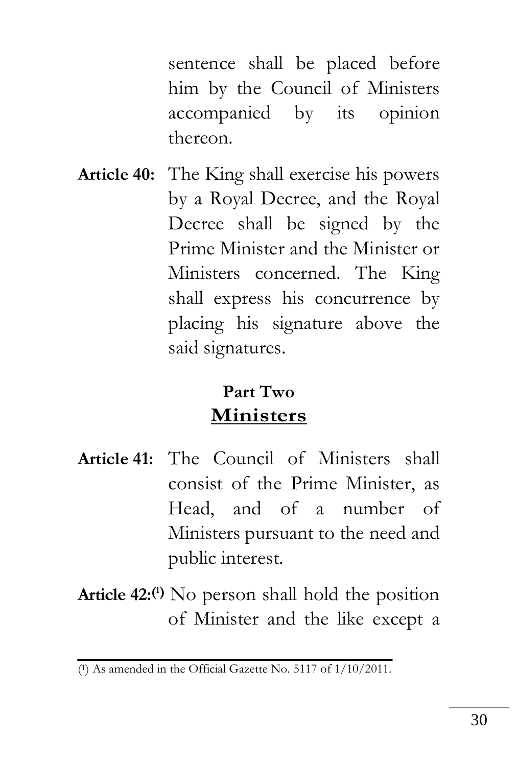sentence shall be placed before him by the Council of Ministers accompanied by its opinion thereon.

**Article 40:** The King shall exercise his powers by a Royal Decree, and the Royal Decree shall be signed by the Prime Minister and the Minister or Ministers concerned. The King shall express his concurrence by placing his signature above the said signatures.

## **Part Two Ministers**

- **Article 41:** The Council of Ministers shall consist of the Prime Minister, as Head, and of a number of Ministers pursuant to the need and public interest.
- **Article 42:( <sup>1</sup>)** No person shall hold the position of Minister and the like except a

<sup>(</sup> <sup>1</sup>) As amended in the Official Gazette No. 5117 of 1/10/2011.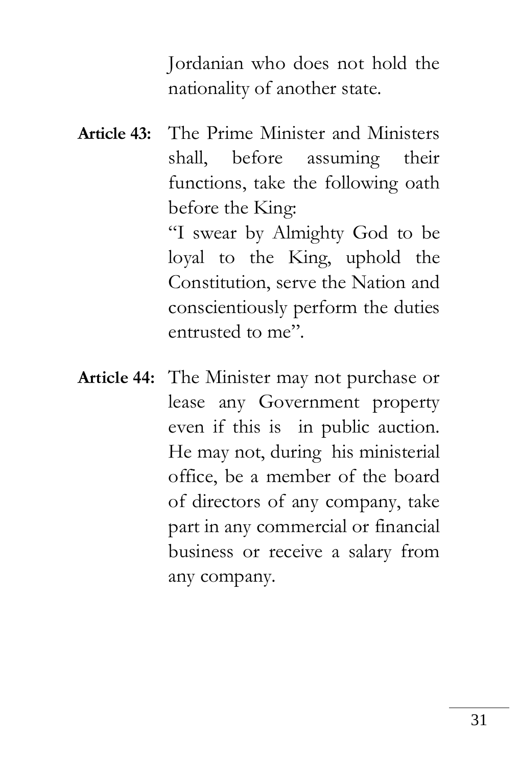Jordanian who does not hold the nationality of another state.

**Article 43:** The Prime Minister and Ministers shall, before assuming their functions, take the following oath before the King:

"I swear by Almighty God to be loyal to the King, uphold the Constitution, serve the Nation and conscientiously perform the duties entrusted to me".

**Article 44:** The Minister may not purchase or lease any Government property even if this is in public auction. He may not, during his ministerial office, be a member of the board of directors of any company, take part in any commercial or financial business or receive a salary from any company.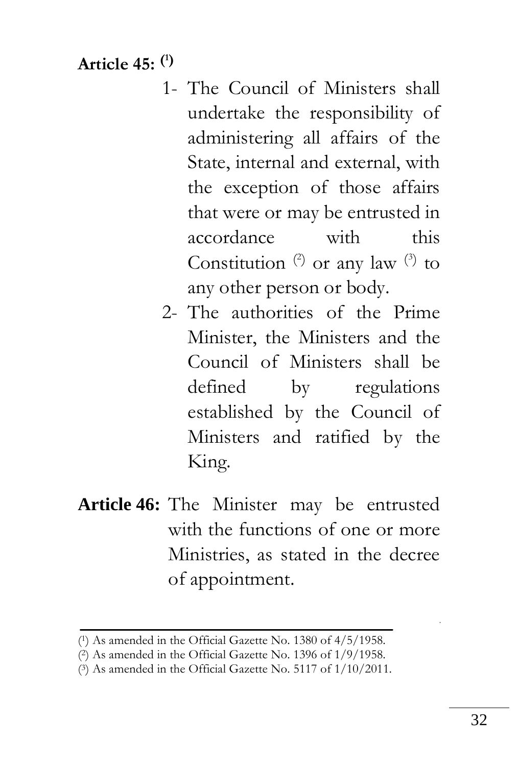**Article 45: ( 1)**

- 1- The Council of Ministers shall undertake the responsibility of administering all affairs of the State, internal and external, with the exception of those affairs that were or may be entrusted in accordance with this Constitution  $(2)$  or any law  $(3)$  to any other person or body.
- 2- The authorities of the Prime Minister, the Ministers and the Council of Ministers shall be defined by regulations established by the Council of Ministers and ratified by the King.
- **Article 46:** The Minister may be entrusted with the functions of one or more Ministries, as stated in the decree of appointment.

<sup>(</sup> <sup>1</sup>) As amended in the Official Gazette No. 1380 of 4/5/1958.

<sup>(</sup> <sup>2</sup>) As amended in the Official Gazette No. 1396 of 1/9/1958.

<sup>(</sup> <sup>3</sup>) As amended in the Official Gazette No. 5117 of 1/10/2011.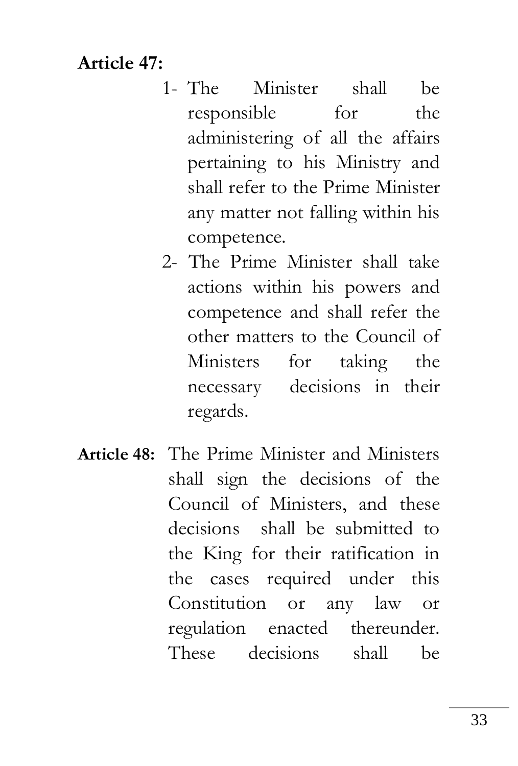### **Article 47:**

- 1- The Minister shall be responsible for the administering of all the affairs pertaining to his Ministry and shall refer to the Prime Minister any matter not falling within his competence.
- 2- The Prime Minister shall take actions within his powers and competence and shall refer the other matters to the Council of Ministers for taking the necessary decisions in their regards.
- **Article 48:** The Prime Minister and Ministers shall sign the decisions of the Council of Ministers, and these decisions shall be submitted to the King for their ratification in the cases required under this Constitution or any law or regulation enacted thereunder. These decisions shall be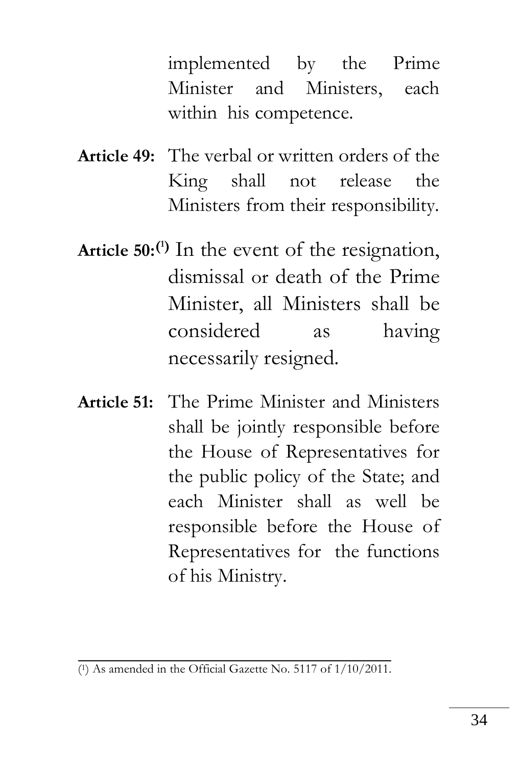implemented by the Prime Minister and Ministers, each within his competence.

- **Article 49:** The verbal or written orders of the King shall not release the Ministers from their responsibility.
- **Article 50:( <sup>1</sup>)** In the event of the resignation, dismissal or death of the Prime Minister, all Ministers shall be considered as having necessarily resigned.
- **Article 51:** The Prime Minister and Ministers shall be jointly responsible before the House of Representatives for the public policy of the State; and each Minister shall as well be responsible before the House of Representatives for the functions of his Ministry.

<sup>(</sup> 1) As amended in the Official Gazette No. 5117 of 1/10/2011.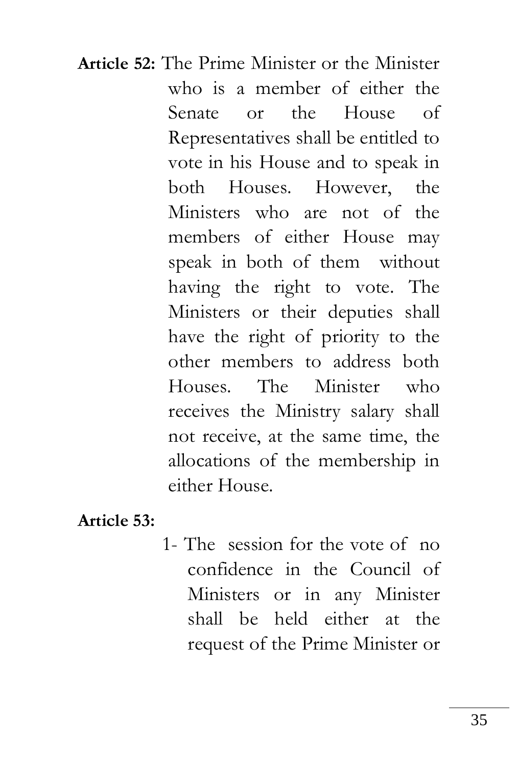**Article 52:** The Prime Minister or the Minister who is a member of either the Senate or the House of Representatives shall be entitled to vote in his House and to speak in both Houses. However, the Ministers who are not of the members of either House may speak in both of them without having the right to vote. The Ministers or their deputies shall have the right of priority to the other members to address both Houses. The Minister who receives the Ministry salary shall not receive, at the same time, the allocations of the membership in either House.

**Article 53:**

1- The session for the vote of no confidence in the Council of Ministers or in any Minister shall be held either at the request of the Prime Minister or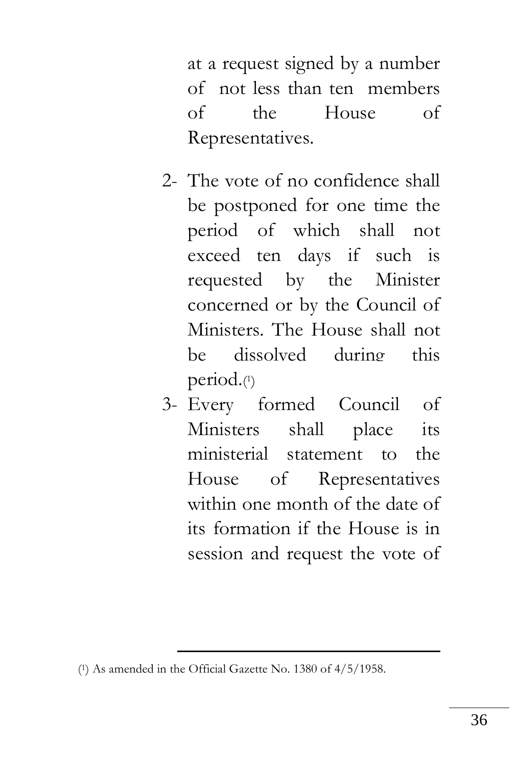at a request signed by a number of not less than ten members of the House of Representatives.

- 2- The vote of no confidence shall be postponed for one time the period of which shall not exceed ten days if such is requested by the Minister concerned or by the Council of Ministers. The House shall not be dissolved during this period.( 1 )
- 3- Every formed Council of Ministers shall place its ministerial statement to the House of Representatives within one month of the date of its formation if the House is in session and request the vote of

<u>.</u>

<sup>(</sup> <sup>1</sup>) As amended in the Official Gazette No. 1380 of 4/5/1958.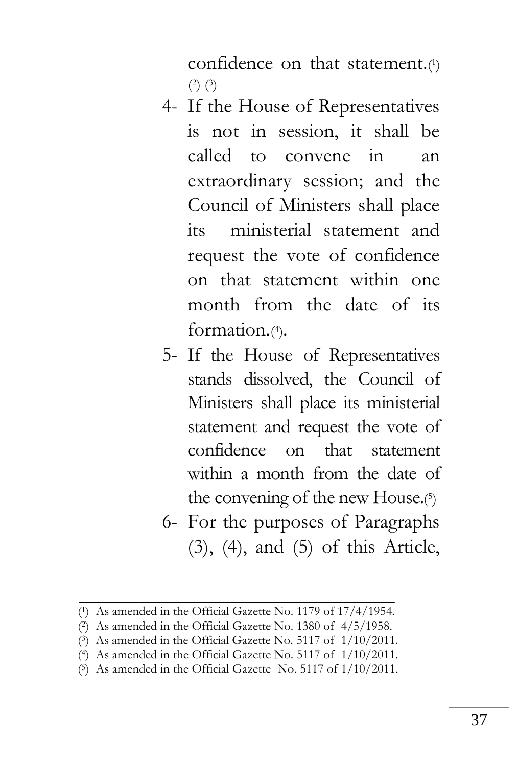confidence on that statement.<sup>(1)</sup>  $(2)$  $(3)$ 

- 4- If the House of Representatives is not in session, it shall be called to convene in an extraordinary session; and the Council of Ministers shall place its ministerial statement and request the vote of confidence on that statement within one month from the date of its formation.(4).
- 5- If the House of Representatives stands dissolved, the Council of Ministers shall place its ministerial statement and request the vote of confidence on that statement within a month from the date of the convening of the new House.<sup>(5)</sup>
- 6- For the purposes of Paragraphs (3), (4), and (5) of this Article,

<sup>(</sup> <sup>1</sup>) As amended in the Official Gazette No. 1179 of 17/4/1954.

<sup>(</sup> <sup>2</sup>) As amended in the Official Gazette No. 1380 of 4/5/1958.

<sup>(</sup> <sup>3</sup>) As amended in the Official Gazette No. 5117 of 1/10/2011.

<sup>(</sup> <sup>4</sup>) As amended in the Official Gazette No. 5117 of 1/10/2011.

<sup>(</sup> <sup>5</sup>) As amended in the Official Gazette No. 5117 of 1/10/2011.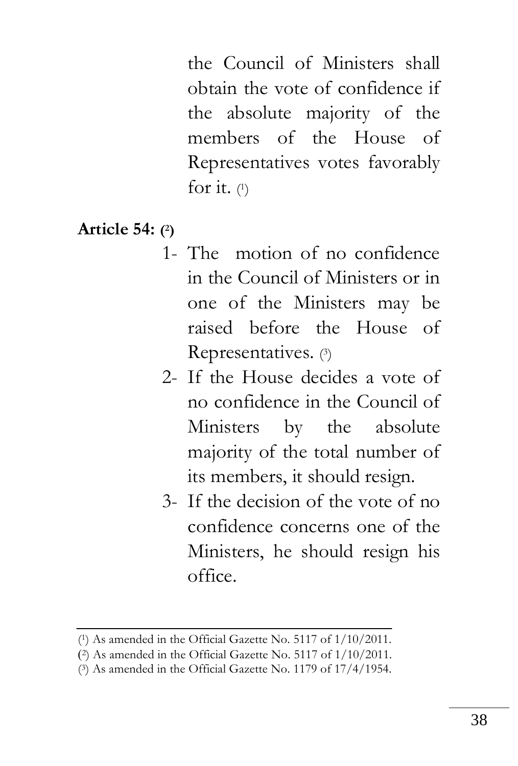the Council of Ministers shall obtain the vote of confidence if the absolute majority of the members of the House of Representatives votes favorably for it. (1)

### **Article 54: ( 2)**

- 1- The motion of no confidence in the Council of Ministers or in one of the Ministers may be raised before the House of Representatives. (3)
- 2- If the House decides a vote of no confidence in the Council of Ministers by the absolute majority of the total number of its members, it should resign.
- 3- If the decision of the vote of no confidence concerns one of the Ministers, he should resign his office.

<sup>(</sup> <sup>1</sup>) As amended in the Official Gazette No. 5117 of 1/10/2011.

<sup>)</sup> <sup>2</sup>) As amended in the Official Gazette No. 5117 of 1/10/2011.

<sup>(</sup> <sup>3</sup>) As amended in the Official Gazette No. 1179 of 17/4/1954.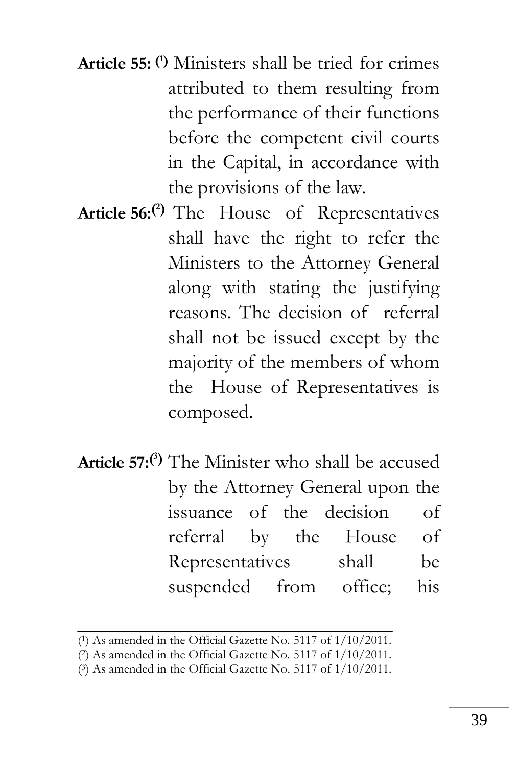**Article 55: ( <sup>1</sup>)** Ministers shall be tried for crimes attributed to them resulting from the performance of their functions before the competent civil courts in the Capital, in accordance with the provisions of the law.

- **Article 56:( <sup>2</sup>)** The House of Representatives shall have the right to refer the Ministers to the Attorney General along with stating the justifying reasons. The decision of referral shall not be issued except by the majority of the members of whom the House of Representatives is composed.
- **Article 57:( <sup>3</sup>)** The Minister who shall be accused by the Attorney General upon the issuance of the decision of referral by the House of Representatives shall be suspended from office; his

( <sup>3</sup>) As amended in the Official Gazette No. 5117 of 1/10/2011.

<sup>(</sup> <sup>1</sup>) As amended in the Official Gazette No. 5117 of 1/10/2011.

<sup>(</sup> <sup>2</sup>) As amended in the Official Gazette No. 5117 of 1/10/2011.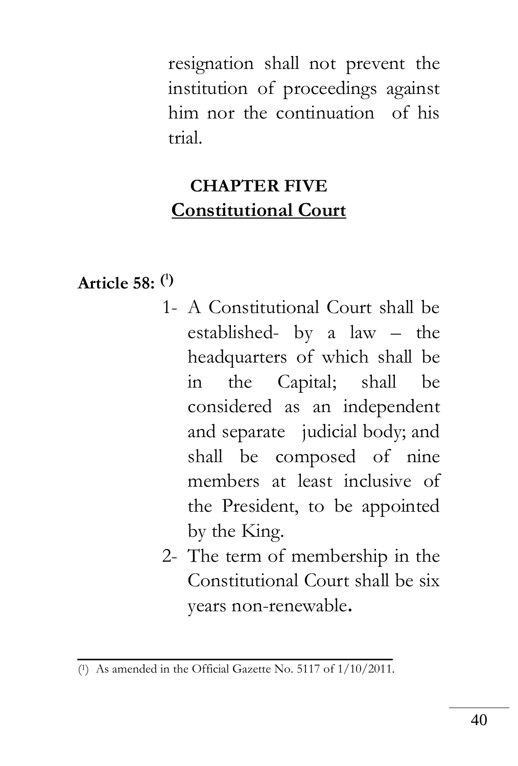resignation shall not prevent the institution of proceedings against him nor the continuation of his trial.

# **CHAPTER FIVE Constitutional Court**

## **Article 58: ( 1)**

- 1- A Constitutional Court shall be established- by a law – the headquarters of which shall be in the Capital; shall be considered as an independent and separate judicial body; and shall be composed of nine members at least inclusive of the President, to be appointed by the King.
- 2- The term of membership in the Constitutional Court shall be six years non-renewable**.**

<sup>(</sup> <sup>1</sup>) As amended in the Official Gazette No. 5117 of 1/10/2011.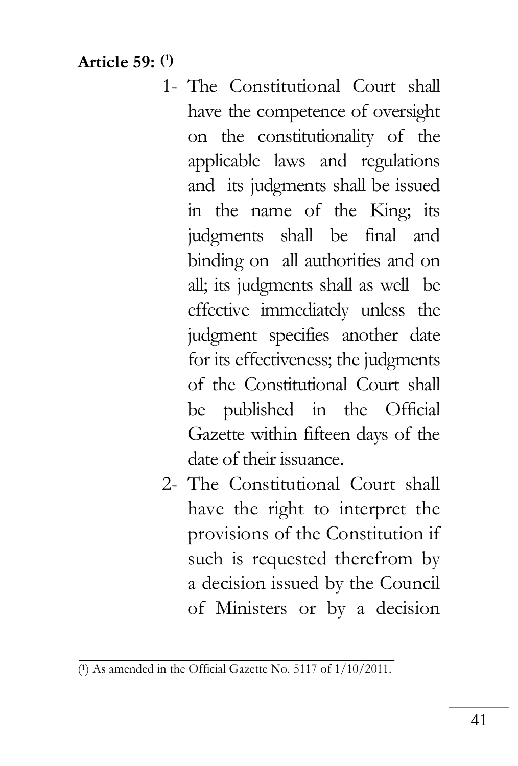**Article 59: ( 1)**

- 1- The Constitutional Court shall have the competence of oversight on the constitutionality of the applicable laws and regulations and its judgments shall be issued in the name of the King; its judgments shall be final and binding on all authorities and on all; its judgments shall as well be effective immediately unless the judgment specifies another date for its effectiveness; the judgments of the Constitutional Court shall be published in the Official Gazette within fifteen days of the date of their issuance.
- 2- The Constitutional Court shall have the right to interpret the provisions of the Constitution if such is requested therefrom by a decision issued by the Council of Ministers or by a decision

<sup>(</sup> <sup>1</sup>) As amended in the Official Gazette No. 5117 of 1/10/2011.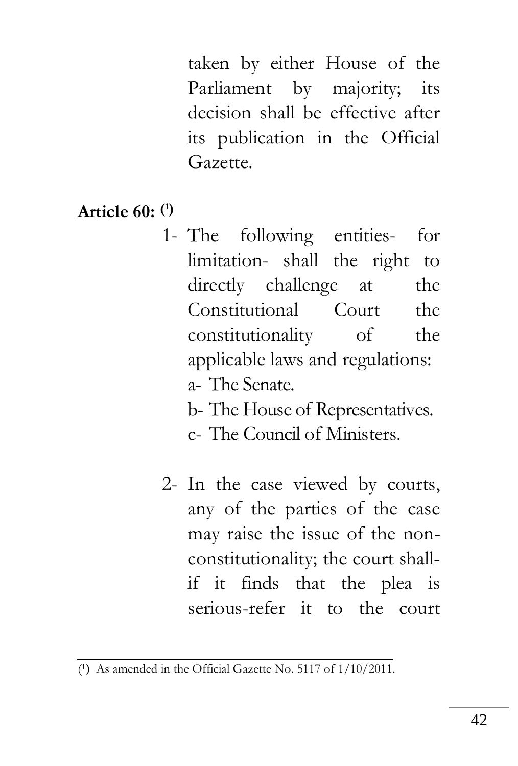taken by either House of the Parliament by majority; its decision shall be effective after its publication in the Official Gazette.

- **Article 60: ( 1)**
	- 1- The following entities- for limitation- shall the right to directly challenge at the Constitutional Court the constitutionality of the applicable laws and regulations: a- The Senate.
		- b- The House of Representatives. c- The Council of Ministers.
	- 2- In the case viewed by courts, any of the parties of the case may raise the issue of the nonconstitutionality; the court shallif it finds that the plea is serious-refer it to the court

<sup>(1)</sup> As amended in the Official Gazette No. 5117 of 1/10/2011.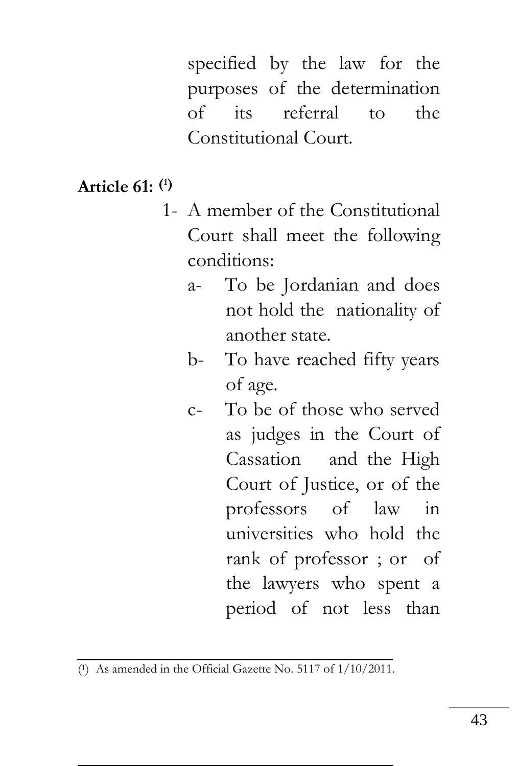specified by the law for the purposes of the determination of its referral to the Constitutional Court.

### **Article 61: ( 1)**

- 1- A member of the Constitutional Court shall meet the following conditions:
	- a- To be Jordanian and does not hold the nationality of another state.
	- b- To have reached fifty years of age.
	- c- To be of those who served as judges in the Court of Cassation and the High Court of Justice, or of the professors of law in universities who hold the rank of professor ; or of the lawyers who spent a period of not less than

<sup>(</sup> <sup>1</sup>) As amended in the Official Gazette No. 5117 of 1/10/2011.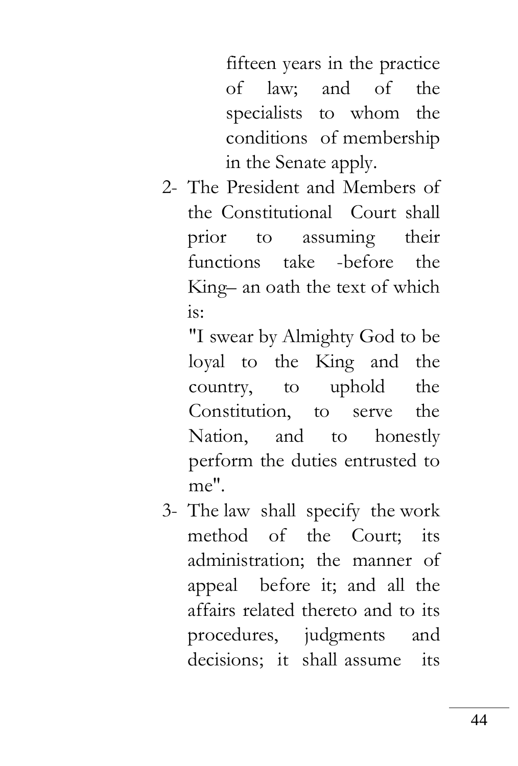fifteen years in the practice of law; and of the specialists to whom the conditions of membership in the Senate apply.

2- The President and Members of the Constitutional Court shall prior to assuming their functions take -before the King– an oath the text of which is:

"I swear by Almighty God to be loyal to the King and the country, to uphold the Constitution, to serve the Nation, and to honestly perform the duties entrusted to me".

3- The law shall specify the work method of the Court; its administration; the manner of appeal before it; and all the affairs related thereto and to its procedures, judgments and decisions; it shall assume its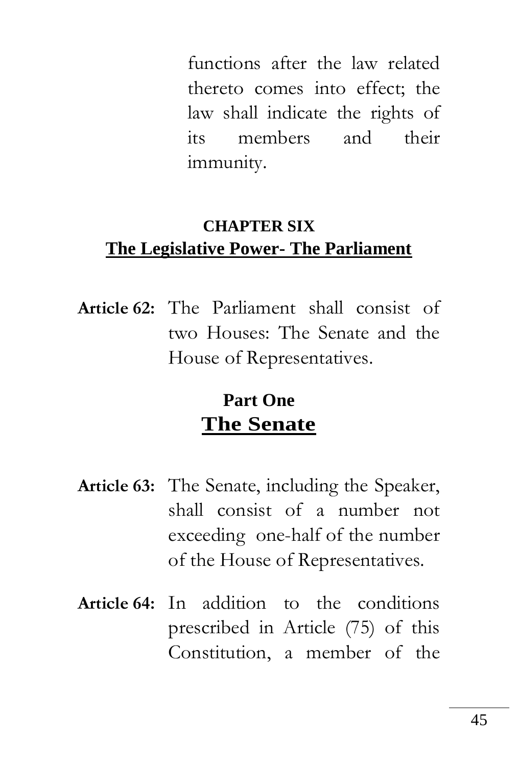functions after the law related thereto comes into effect; the law shall indicate the rights of its members and their immunity.

### **CHAPTER SIX The Legislative Power- The Parliament**

**Article 62:** The Parliament shall consist of two Houses: The Senate and the House of Representatives.

## **Part One The Senate**

- **Article 63:** The Senate, including the Speaker, shall consist of a number not exceeding one-half of the number of the House of Representatives.
- **Article 64:** In addition to the conditions prescribed in Article (75) of this Constitution, a member of the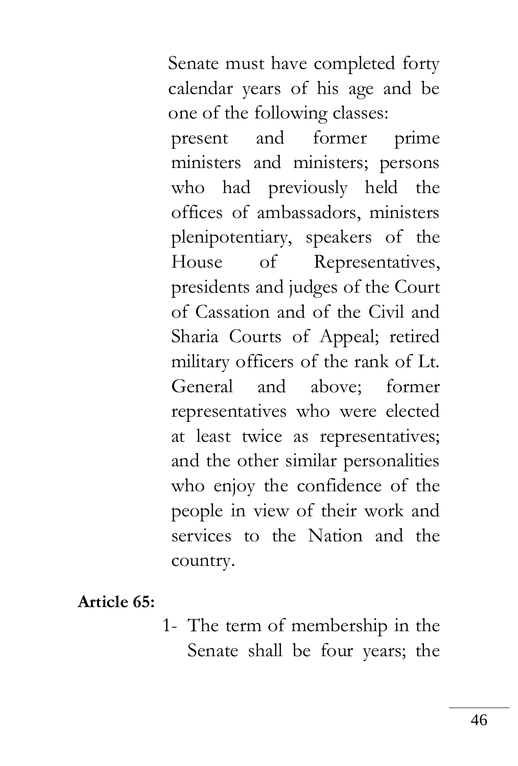Senate must have completed forty calendar years of his age and be one of the following classes:

present and former prime ministers and ministers; persons who had previously held the offices of ambassadors, ministers plenipotentiary, speakers of the House of Representatives, presidents and judges of the Court of Cassation and of the Civil and Sharia Courts of Appeal; retired military officers of the rank of Lt. General and above; former representatives who were elected at least twice as representatives; and the other similar personalities who enjoy the confidence of the people in view of their work and services to the Nation and the country.

**Article 65:** 

1- The term of membership in the Senate shall be four years; the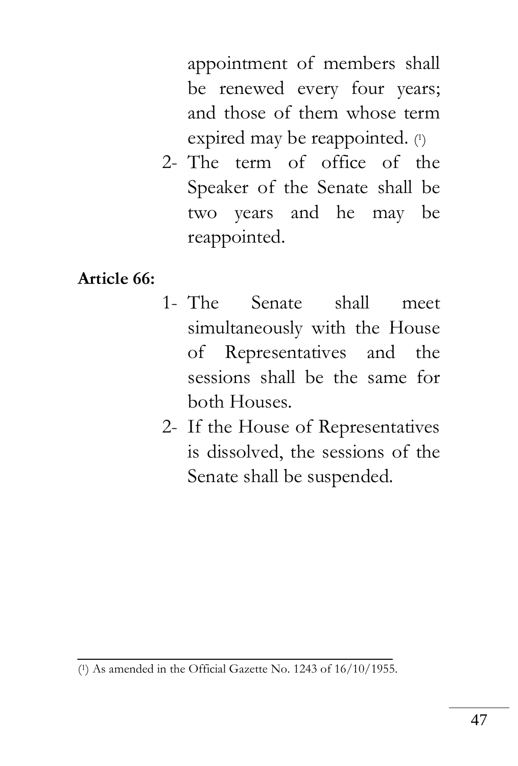appointment of members shall be renewed every four years; and those of them whose term expired may be reappointed. (1)

2- The term of office of the Speaker of the Senate shall be two years and he may be reappointed.

#### **Article 66:**

- 1- The Senate shall meet simultaneously with the House of Representatives and the sessions shall be the same for both Houses.
- 2- If the House of Representatives is dissolved, the sessions of the Senate shall be suspended.

<sup>(</sup> <sup>1</sup>) As amended in the Official Gazette No. 1243 of 16/10/1955.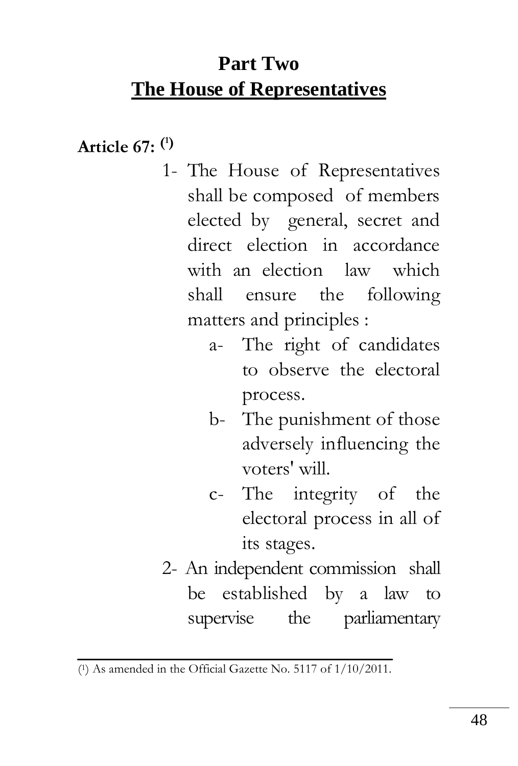# **Part Two The House of Representatives**

**Article 67: ( 1)**

- 1- The House of Representatives shall be composed of members elected by general, secret and direct election in accordance with an election law which shall ensure the following matters and principles :
	- a- The right of candidates to observe the electoral process.
	- b- The punishment of those adversely influencing the voters' will.
	- c- The integrity of the electoral process in all of its stages.
- 2- An independent commission shall be established by a law to supervise the parliamentary

<sup>(</sup> <sup>1</sup>) As amended in the Official Gazette No. 5117 of 1/10/2011.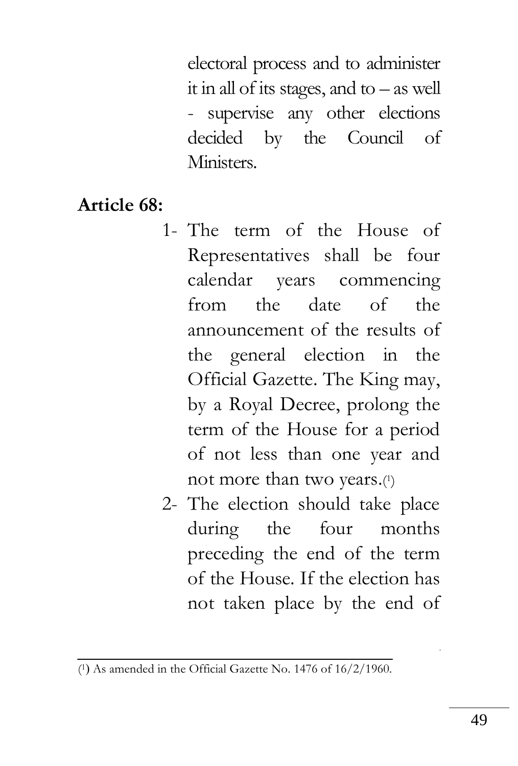electoral process and to administer it in all of its stages, and to – as well - supervise any other elections decided by the Council of Ministers.

### **Article 68:**

- 1- The term of the House of Representatives shall be four calendar years commencing from the date of the announcement of the results of the general election in the Official Gazette. The King may, by a Royal Decree, prolong the term of the House for a period of not less than one year and not more than two years.( 1 )
- 2- The election should take place during the four months preceding the end of the term of the House. If the election has not taken place by the end of

 $(1)$  As amended in the Official Gazette No. 1476 of  $16/2/1960$ .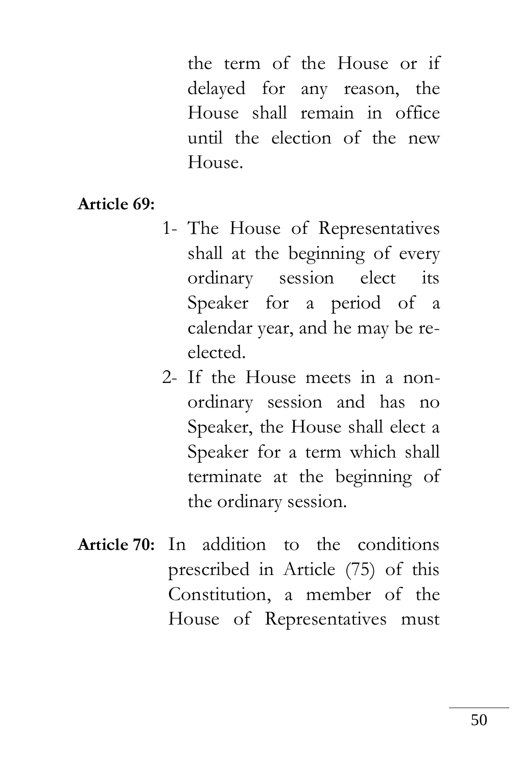the term of the House or if delayed for any reason, the House shall remain in office until the election of the new House.

#### **Article 69:**

- 1- The House of Representatives shall at the beginning of every ordinary session elect its Speaker for a period of a calendar year, and he may be reelected.
- 2- If the House meets in a nonordinary session and has no Speaker, the House shall elect a Speaker for a term which shall terminate at the beginning of the ordinary session.
- **Article 70:** In addition to the conditions prescribed in Article (75) of this Constitution, a member of the House of Representatives must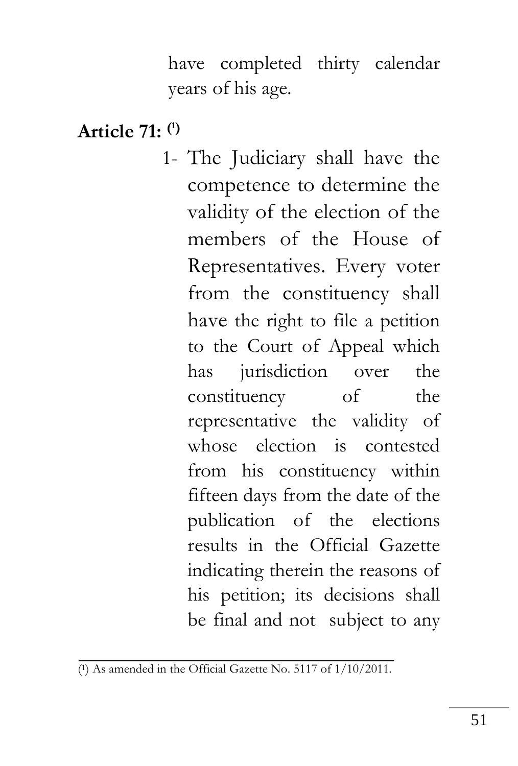have completed thirty calendar years of his age.

## **Article 71: ( 1)**

1- The Judiciary shall have the competence to determine the validity of the election of the members of the House of Representatives. Every voter from the constituency shall have the right to file a petition to the Court of Appeal which has jurisdiction over the constituency of the representative the validity of whose election is contested from his constituency within fifteen days from the date of the publication of the elections results in the Official Gazette indicating therein the reasons of his petition; its decisions shall be final and not subject to any

<sup>(</sup> <sup>1</sup>) As amended in the Official Gazette No. 5117 of 1/10/2011.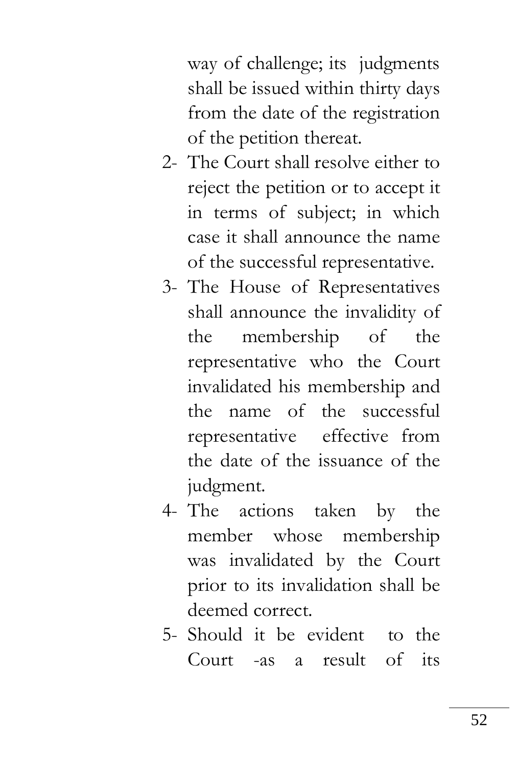way of challenge; its judgments shall be issued within thirty days from the date of the registration of the petition thereat.

- 2- The Court shall resolve either to reject the petition or to accept it in terms of subject; in which case it shall announce the name of the successful representative.
- 3- The House of Representatives shall announce the invalidity of the membership of the representative who the Court invalidated his membership and the name of the successful representative effective from the date of the issuance of the judgment.
- 4- The actions taken by the member whose membership was invalidated by the Court prior to its invalidation shall be deemed correct.
- 5- Should it be evident to the Court -as a result of its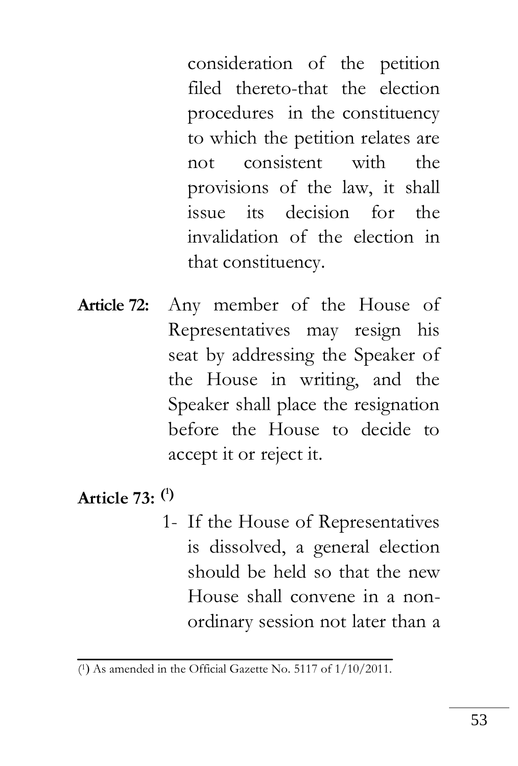consideration of the petition filed thereto-that the election procedures in the constituency to which the petition relates are not consistent with the provisions of the law, it shall issue its decision for the invalidation of the election in that constituency.

**Article 72:** Any member of the House of Representatives may resign his seat by addressing the Speaker of the House in writing, and the Speaker shall place the resignation before the House to decide to accept it or reject it.

## **Article 73: ( 1)**

1- If the House of Representatives is dissolved, a general election should be held so that the new House shall convene in a nonordinary session not later than a

<sup>(1)</sup> As amended in the Official Gazette No. 5117 of 1/10/2011.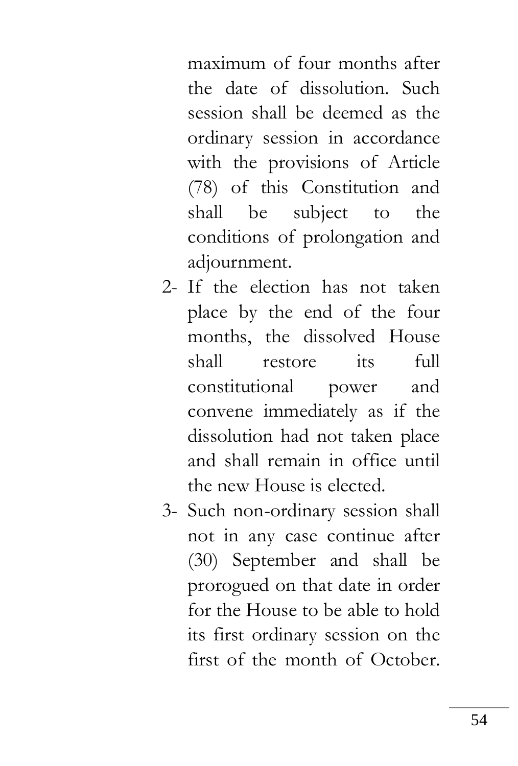maximum of four months after the date of dissolution. Such session shall be deemed as the ordinary session in accordance with the provisions of Article (78) of this Constitution and shall be subject to the conditions of prolongation and adjournment.

- 2- If the election has not taken place by the end of the four months, the dissolved House shall restore its full constitutional power and convene immediately as if the dissolution had not taken place and shall remain in office until the new House is elected.
- 3- Such non-ordinary session shall not in any case continue after (30) September and shall be prorogued on that date in order for the House to be able to hold its first ordinary session on the first of the month of October.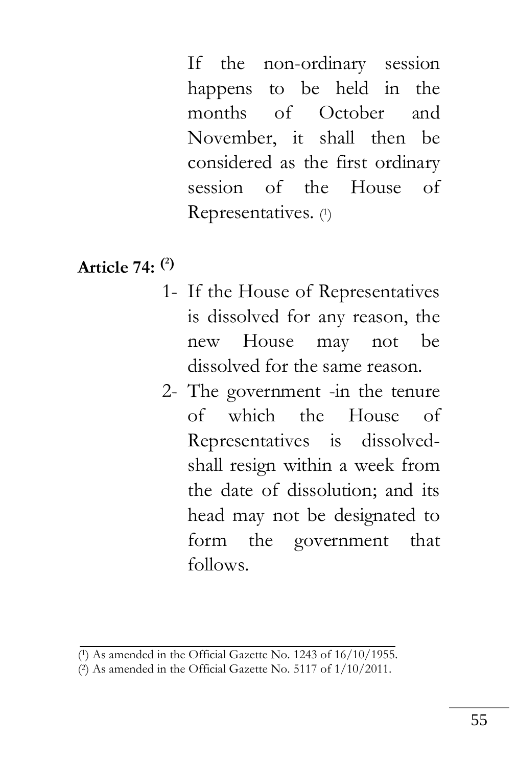If the non-ordinary session happens to be held in the months of October and November, it shall then be considered as the first ordinary session of the House of Representatives. ( 1 )

## **Article 74: ( 2)**

- 1- If the House of Representatives is dissolved for any reason, the new House may not be dissolved for the same reason.
- 2- The government -in the tenure of which the House of Representatives is dissolvedshall resign within a week from the date of dissolution; and its head may not be designated to form the government that follows.

<sup>(</sup> <sup>1</sup>) As amended in the Official Gazette No. 1243 of 16/10/1955.

<sup>(</sup> <sup>2</sup>) As amended in the Official Gazette No. 5117 of 1/10/2011.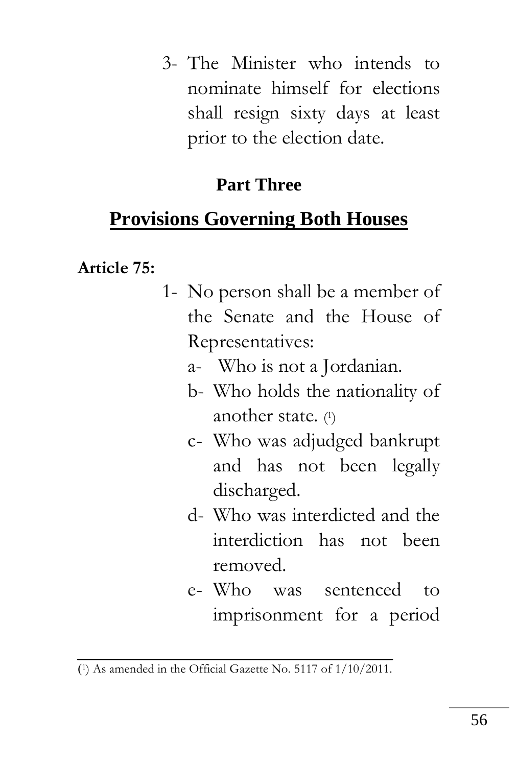3- The Minister who intends to nominate himself for elections shall resign sixty days at least prior to the election date.

## **Part Three**

# **Provisions Governing Both Houses**

### **Article 75:**

- 1- No person shall be a member of the Senate and the House of Representatives:
	- a- Who is not a Jordanian.
	- b- Who holds the nationality of another state. ( 1 )
	- c- Who was adjudged bankrupt and has not been legally discharged.
	- d- Who was interdicted and the interdiction has not been removed.
	- e- Who was sentenced to imprisonment for a period

<sup>)</sup> 1) As amended in the Official Gazette No. 5117 of 1/10/2011.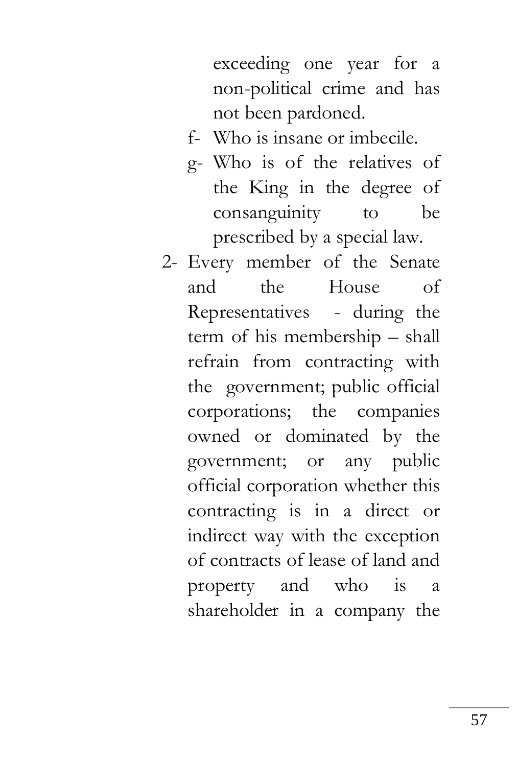exceeding one year for a non-political crime and has not been pardoned.

- f- Who is insane or imbecile.
- g- Who is of the relatives of the King in the degree of consanguinity to be prescribed by a special law.
- 2- Every member of the Senate and the House of Representatives - during the term of his membership – shall refrain from contracting with the government; public official corporations; the companies owned or dominated by the government; or any public official corporation whether this contracting is in a direct or indirect way with the exception of contracts of lease of land and property and who is shareholder in a company the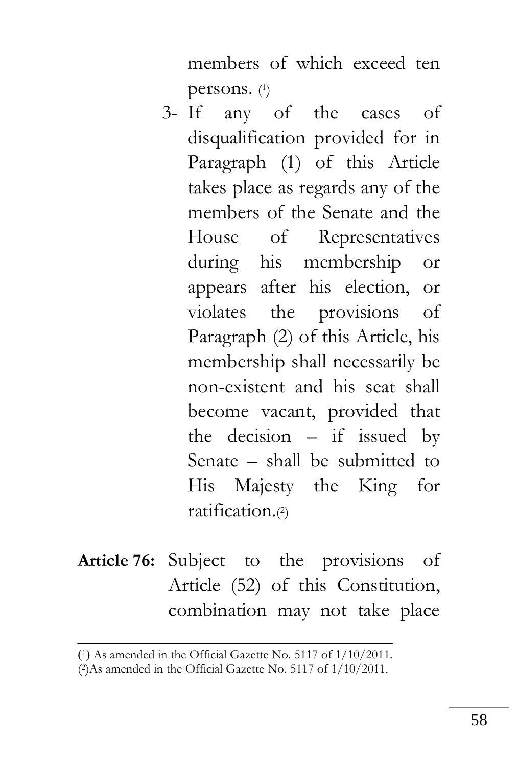members of which exceed ten persons. (1)

- 3- If any of the cases of disqualification provided for in Paragraph (1) of this Article takes place as regards any of the members of the Senate and the House of Representatives during his membership or appears after his election, or violates the provisions of Paragraph (2) of this Article, his membership shall necessarily be non-existent and his seat shall become vacant, provided that the decision  $-$  if issued by Senate – shall be submitted to His Majesty the King for ratification.( 2 )
- **Article 76:** Subject to the provisions of Article (52) of this Constitution, combination may not take place

<sup>(1)</sup> As amended in the Official Gazette No. 5117 of 1/10/2011.

<sup>(</sup> 2)As amended in the Official Gazette No. 5117 of 1/10/2011.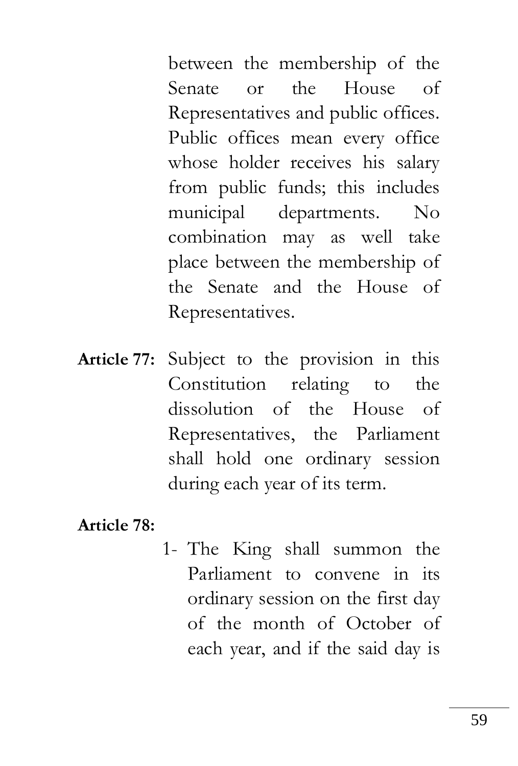between the membership of the Senate or the House of Representatives and public offices. Public offices mean every office whose holder receives his salary from public funds; this includes municipal departments. No combination may as well take place between the membership of the Senate and the House of Representatives.

**Article 77:** Subject to the provision in this Constitution relating to the dissolution of the House of Representatives, the Parliament shall hold one ordinary session during each year of its term.

**Article 78:**

1- The King shall summon the Parliament to convene in its ordinary session on the first day of the month of October of each year, and if the said day is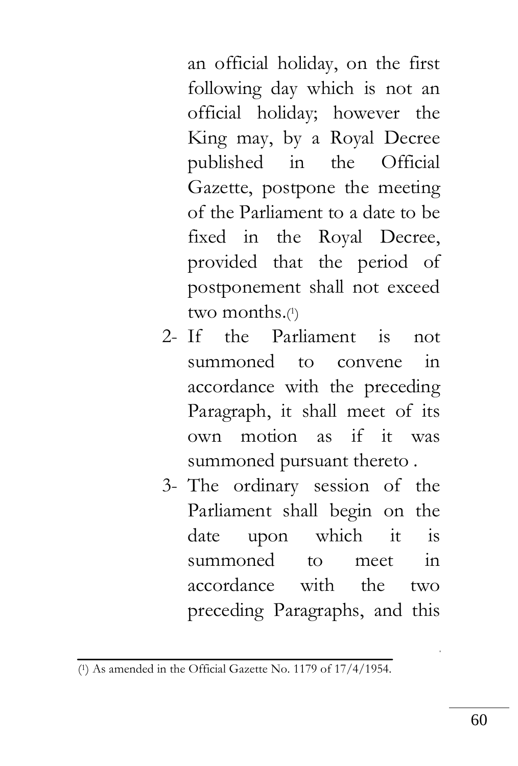an official holiday, on the first following day which is not an official holiday; however the King may, by a Royal Decree published in the Official Gazette, postpone the meeting of the Parliament to a date to be fixed in the Royal Decree, provided that the period of postponement shall not exceed two months.( 1 )

- 2- If the Parliament is not summoned to convene in accordance with the preceding Paragraph, it shall meet of its own motion as if it was summoned pursuant thereto .
- 3- The ordinary session of the Parliament shall begin on the date upon which it is summoned to meet in accordance with the two preceding Paragraphs, and this

<sup>(</sup> 1) As amended in the Official Gazette No. 1179 of 17/4/1954.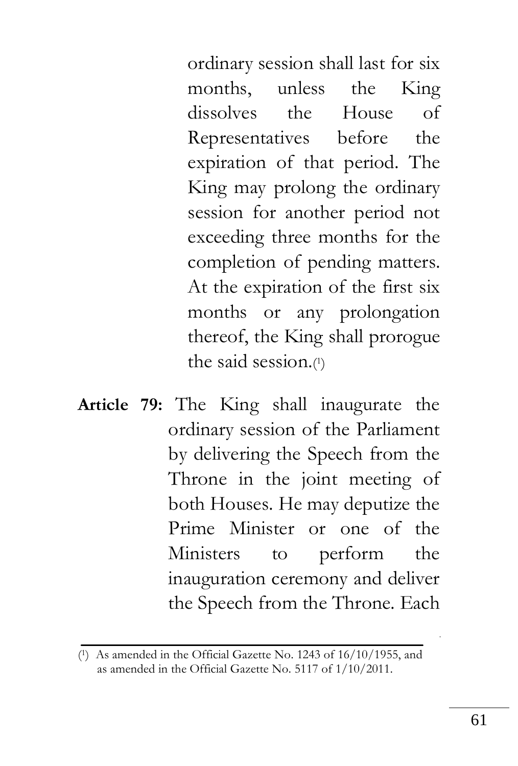ordinary session shall last for six months, unless the King dissolves the House of Representatives before the expiration of that period. The King may prolong the ordinary session for another period not exceeding three months for the completion of pending matters. At the expiration of the first six months or any prolongation thereof, the King shall prorogue the said session.( 1 )

**Article 79:** The King shall inaugurate the ordinary session of the Parliament by delivering the Speech from the Throne in the joint meeting of both Houses. He may deputize the Prime Minister or one of the Ministers to perform the inauguration ceremony and deliver the Speech from the Throne. Each

<sup>(</sup> <sup>1</sup>) As amended in the Official Gazette No. 1243 of 16/10/1955, and as amended in the Official Gazette No. 5117 of 1/10/2011.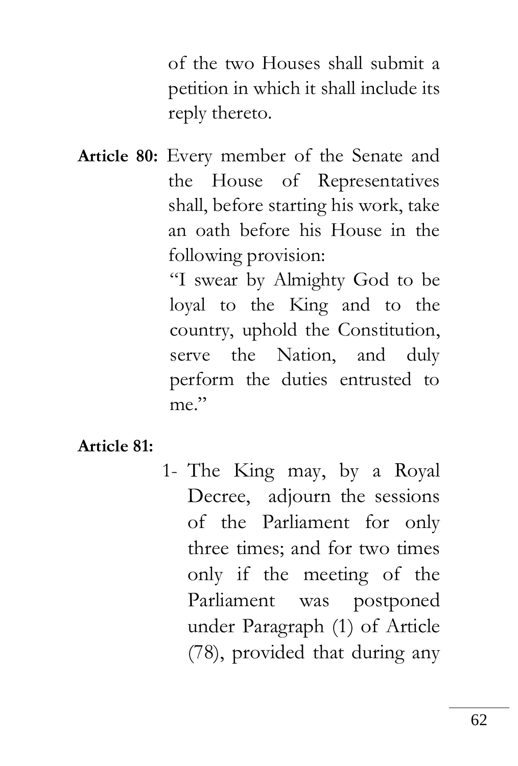of the two Houses shall submit a petition in which it shall include its reply thereto.

**Article 80:** Every member of the Senate and the House of Representatives shall, before starting his work, take an oath before his House in the following provision:

> "I swear by Almighty God to be loyal to the King and to the country, uphold the Constitution, serve the Nation, and duly perform the duties entrusted to me."

#### **Article 81:**

1- The King may, by a Royal Decree, adjourn the sessions of the Parliament for only three times; and for two times only if the meeting of the Parliament was postponed under Paragraph (1) of Article (78), provided that during any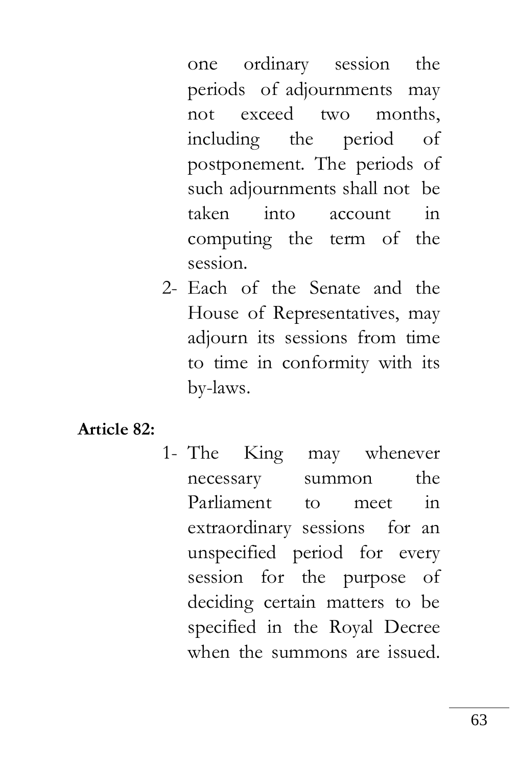one ordinary session the periods of adjournments may not exceed two months, including the period of postponement. The periods of such adjournments shall not be taken into account in computing the term of the session.

2- Each of the Senate and the House of Representatives, may adjourn its sessions from time to time in conformity with its by-laws.

#### **Article 82:**

1- The King may whenever necessary summon the Parliament to meet in extraordinary sessions for an unspecified period for every session for the purpose of deciding certain matters to be specified in the Royal Decree when the summons are issued.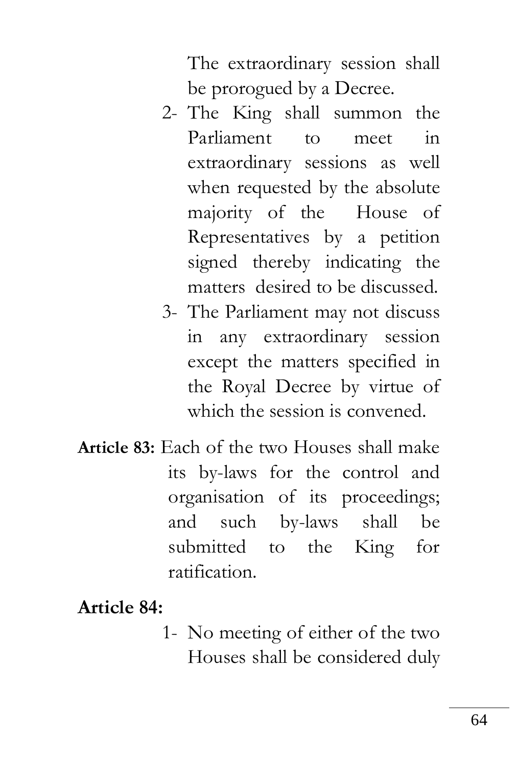The extraordinary session shall be prorogued by a Decree.

- 2- The King shall summon the Parliament to meet in extraordinary sessions as well when requested by the absolute majority of the House of Representatives by a petition signed thereby indicating the matters desired to be discussed.
- 3- The Parliament may not discuss in any extraordinary session except the matters specified in the Royal Decree by virtue of which the session is convened.
- **Article 83:** Each of the two Houses shall make its by-laws for the control and organisation of its proceedings; and such by-laws shall be submitted to the King for ratification.

## **Article 84:**

1- No meeting of either of the two Houses shall be considered duly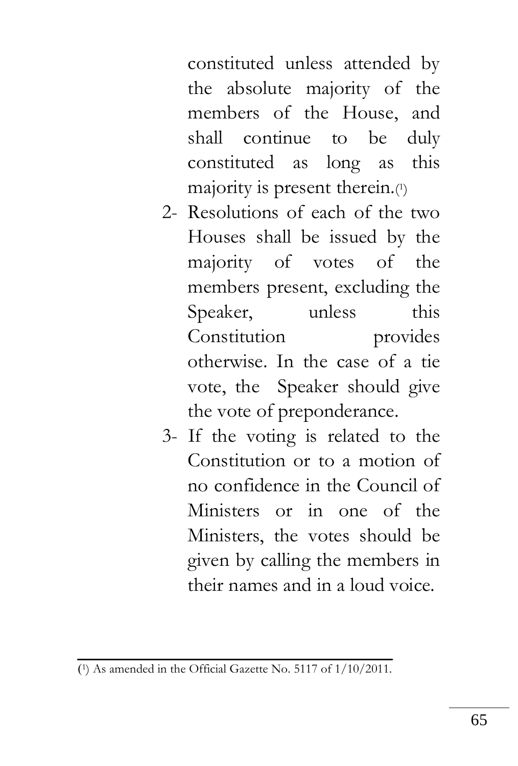constituted unless attended by the absolute majority of the members of the House, and shall continue to be duly constituted as long as this majority is present therein.( 1 )

- 2- Resolutions of each of the two Houses shall be issued by the majority of votes of the members present, excluding the Speaker, unless this Constitution provides otherwise. In the case of a tie vote, the Speaker should give the vote of preponderance.
- 3- If the voting is related to the Constitution or to a motion of no confidence in the Council of Ministers or in one of the Ministers, the votes should be given by calling the members in their names and in a loud voice.

<sup>)</sup> 1) As amended in the Official Gazette No. 5117 of 1/10/2011.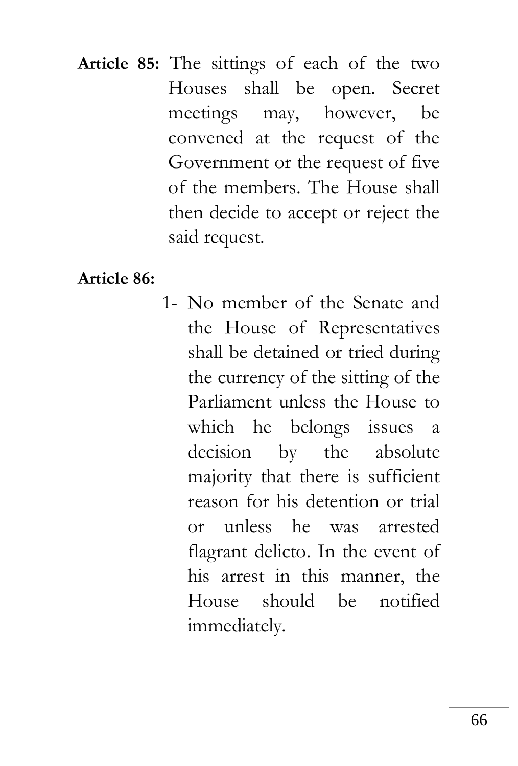**Article 85:** The sittings of each of the two Houses shall be open. Secret meetings may, however, be convened at the request of the Government or the request of five of the members. The House shall then decide to accept or reject the said request.

#### **Article 86:**

1- No member of the Senate and the House of Representatives shall be detained or tried during the currency of the sitting of the Parliament unless the House to which he belongs issues a decision by the absolute majority that there is sufficient reason for his detention or trial or unless he was arrested flagrant delicto. In the event of his arrest in this manner, the House should be notified immediately.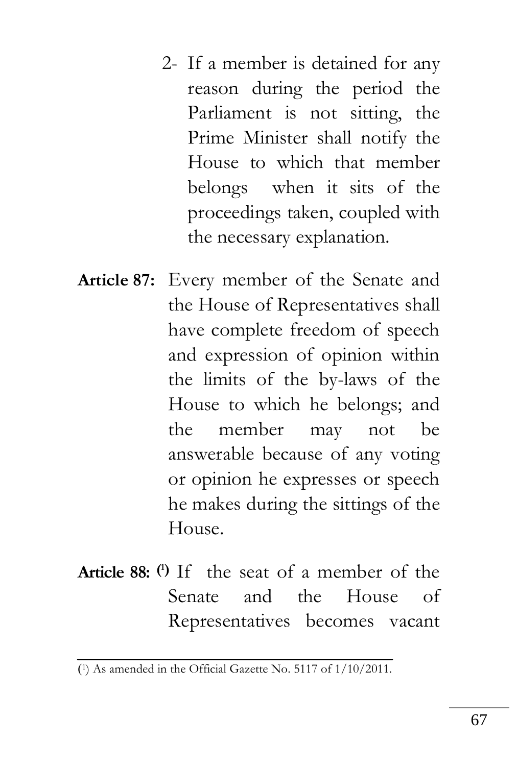- 2- If a member is detained for any reason during the period the Parliament is not sitting, the Prime Minister shall notify the House to which that member belongs when it sits of the proceedings taken, coupled with the necessary explanation.
- **Article 87:** Every member of the Senate and the House of Representatives shall have complete freedom of speech and expression of opinion within the limits of the by-laws of the House to which he belongs; and the member may not be answerable because of any voting or opinion he expresses or speech he makes during the sittings of the House.
- **Article 88: ( <sup>1</sup>)** If the seat of a member of the Senate and the House of Representatives becomes vacant

<sup>)</sup> 1) As amended in the Official Gazette No. 5117 of 1/10/2011.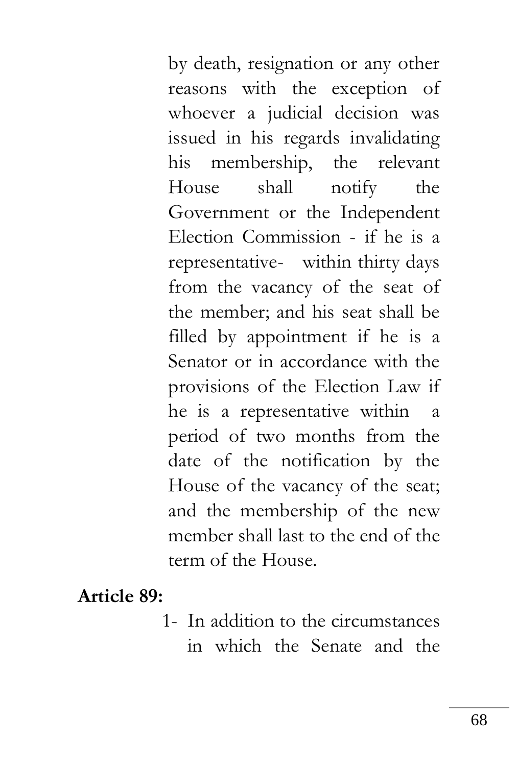by death, resignation or any other reasons with the exception of whoever a judicial decision was issued in his regards invalidating his membership, the relevant House shall notify the Government or the Independent Election Commission - if he is a representative- within thirty days from the vacancy of the seat of the member; and his seat shall be filled by appointment if he is a Senator or in accordance with the provisions of the Election Law if he is a representative within a period of two months from the date of the notification by the House of the vacancy of the seat; and the membership of the new member shall last to the end of the term of the House.

**Article 89:**

1- In addition to the circumstances in which the Senate and the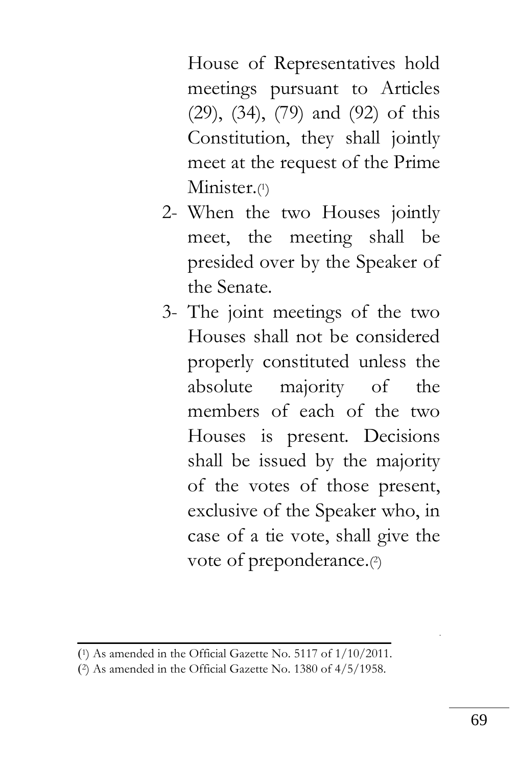House of Representatives hold meetings pursuant to Articles (29), (34), (79) and (92) of this Constitution, they shall jointly meet at the request of the Prime Minister.(1)

- 2- When the two Houses jointly meet, the meeting shall be presided over by the Speaker of the Senate.
- 3- The joint meetings of the two Houses shall not be considered properly constituted unless the absolute majority of the members of each of the two Houses is present. Decisions shall be issued by the majority of the votes of those present, exclusive of the Speaker who, in case of a tie vote, shall give the vote of preponderance.<sup>(2)</sup>

<sup>)</sup> <sup>1</sup>) As amended in the Official Gazette No. 5117 of 1/10/2011.

<sup>)</sup> 2) As amended in the Official Gazette No. 1380 of 4/5/1958.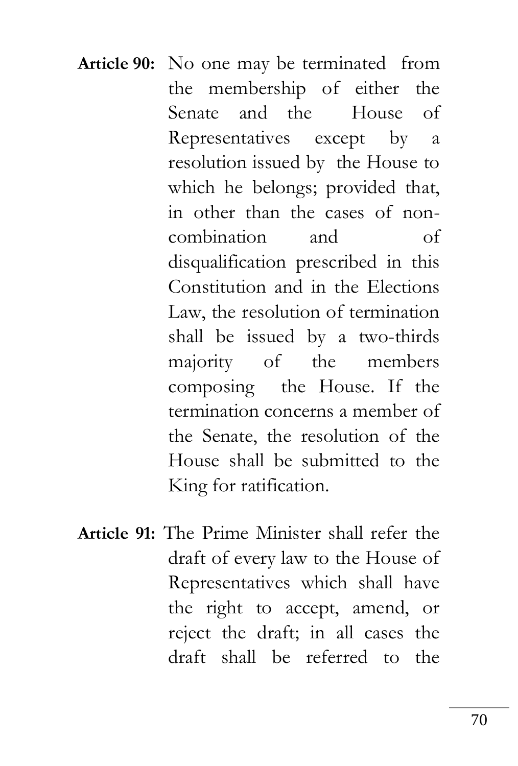- **Article 90:** No one may be terminated from the membership of either the Senate and the House of Representatives except by a resolution issued by the House to which he belongs; provided that, in other than the cases of noncombination and of disqualification prescribed in this Constitution and in the Elections Law, the resolution of termination shall be issued by a two-thirds majority of the members composing the House. If the termination concerns a member of the Senate, the resolution of the House shall be submitted to the King for ratification.
- **Article 91:** The Prime Minister shall refer the draft of every law to the House of Representatives which shall have the right to accept, amend, or reject the draft; in all cases the draft shall be referred to the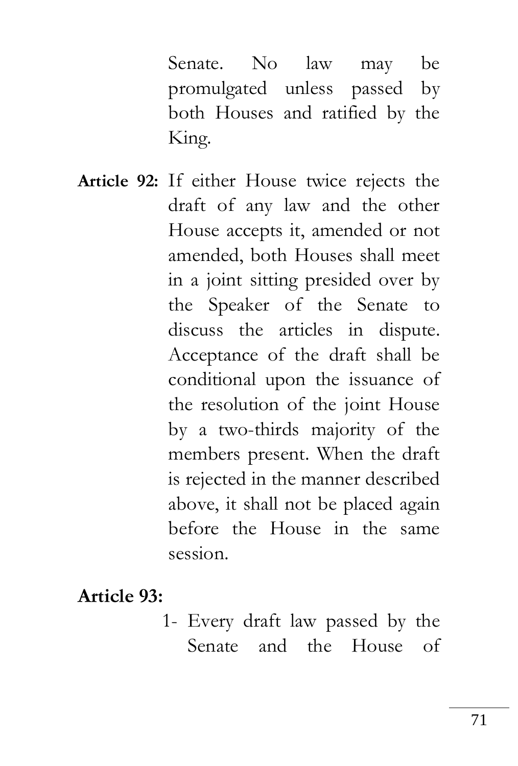Senate. No law may be promulgated unless passed by both Houses and ratified by the King.

**Article 92:** If either House twice rejects the draft of any law and the other House accepts it, amended or not amended, both Houses shall meet in a joint sitting presided over by the Speaker of the Senate to discuss the articles in dispute. Acceptance of the draft shall be conditional upon the issuance of the resolution of the joint House by a two-thirds majority of the members present. When the draft is rejected in the manner described above, it shall not be placed again before the House in the same session.

**Article 93:**

1- Every draft law passed by the Senate and the House of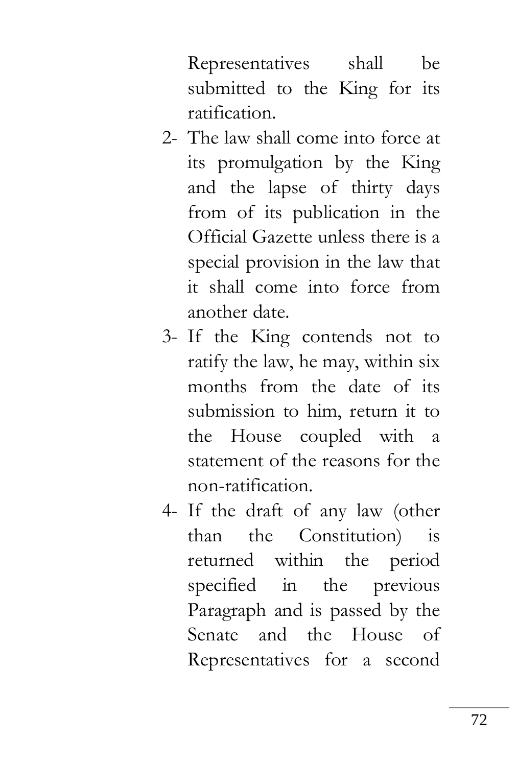Representatives shall be submitted to the King for its ratification.

- 2- The law shall come into force at its promulgation by the King and the lapse of thirty days from of its publication in the Official Gazette unless there is a special provision in the law that it shall come into force from another date.
- 3- If the King contends not to ratify the law, he may, within six months from the date of its submission to him, return it to the House coupled with a statement of the reasons for the non-ratification.
- 4- If the draft of any law (other than the Constitution) is returned within the period specified in the previous Paragraph and is passed by the Senate and the House of Representatives for a second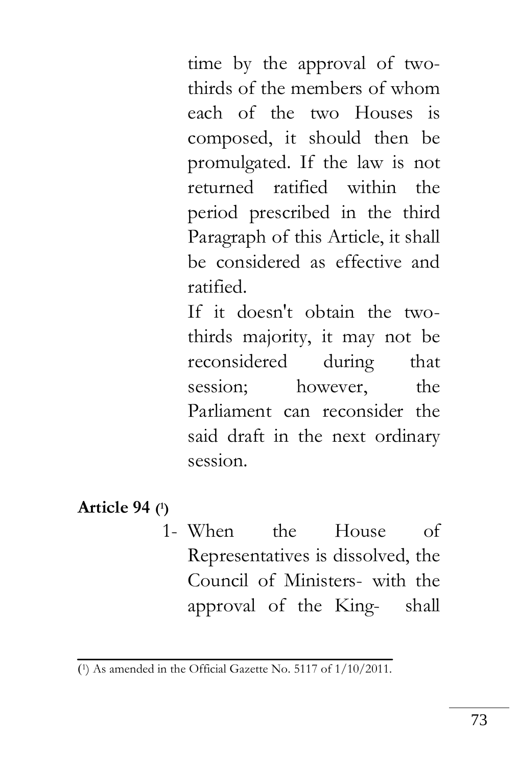time by the approval of twothirds of the members of whom each of the two Houses is composed, it should then be promulgated. If the law is not returned ratified within the period prescribed in the third Paragraph of this Article, it shall be considered as effective and ratified.

If it doesn't obtain the twothirds majority, it may not be reconsidered during that session; however, the Parliament can reconsider the said draft in the next ordinary session.

#### **Article 94 ( 1)**

1- When the House of Representatives is dissolved, the Council of Ministers- with the approval of the King- shall

<sup>)</sup> 1) As amended in the Official Gazette No. 5117 of 1/10/2011.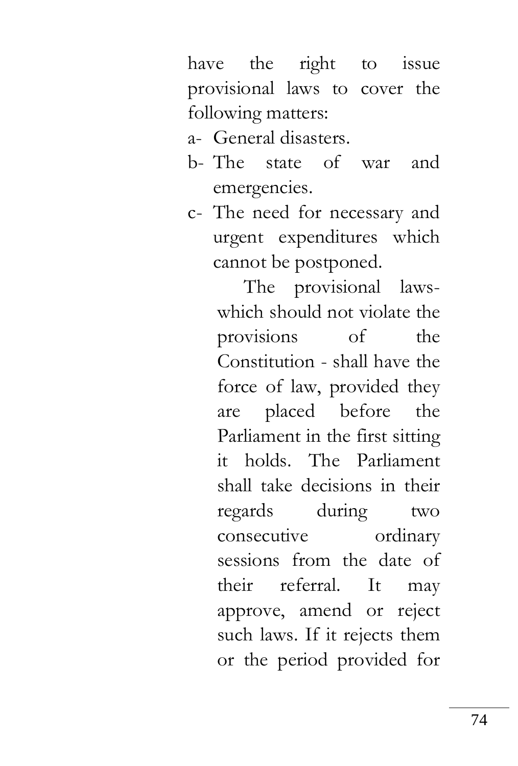have the right to issue provisional laws to cover the following matters:

- a- General disasters.
- b- The state of war and emergencies.
- c- The need for necessary and urgent expenditures which cannot be postponed.

The provisional lawswhich should not violate the provisions of the Constitution - shall have the force of law, provided they are placed before the Parliament in the first sitting it holds. The Parliament shall take decisions in their regards during two consecutive ordinary sessions from the date of their referral. It may approve, amend or reject such laws. If it rejects them or the period provided for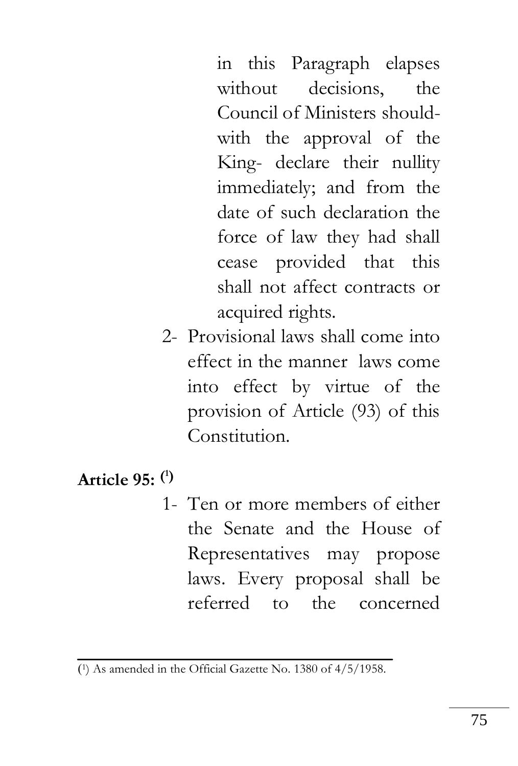in this Paragraph elapses without decisions, the Council of Ministers shouldwith the approval of the King- declare their nullity immediately; and from the date of such declaration the force of law they had shall cease provided that this shall not affect contracts or acquired rights.

2- Provisional laws shall come into effect in the manner laws come into effect by virtue of the provision of Article (93) of this Constitution

# **Article 95: ( 1)**

1- Ten or more members of either the Senate and the House of Representatives may propose laws. Every proposal shall be referred to the concerned

<sup>)</sup> 1) As amended in the Official Gazette No. 1380 of 4/5/1958.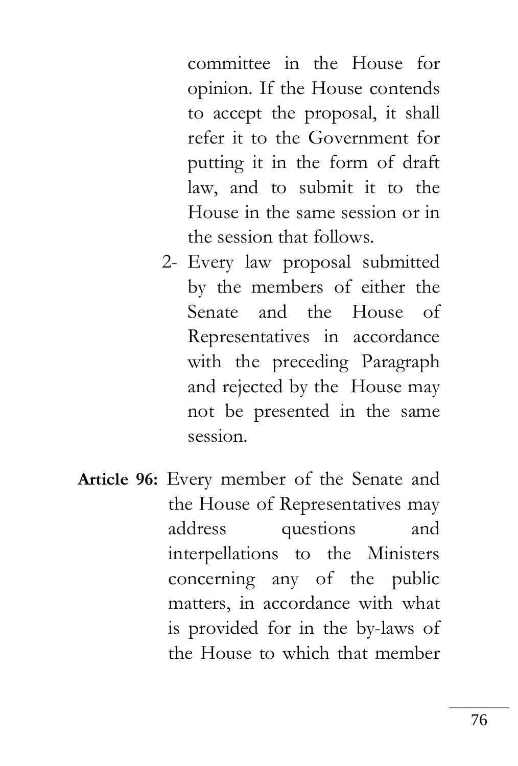committee in the House for opinion. If the House contends to accept the proposal, it shall refer it to the Government for putting it in the form of draft law, and to submit it to the House in the same session or in the session that follows.

- 2- Every law proposal submitted by the members of either the Senate and the House of Representatives in accordance with the preceding Paragraph and rejected by the House may not be presented in the same session.
- **Article 96:** Every member of the Senate and the House of Representatives may address questions and interpellations to the Ministers concerning any of the public matters, in accordance with what is provided for in the by-laws of the House to which that member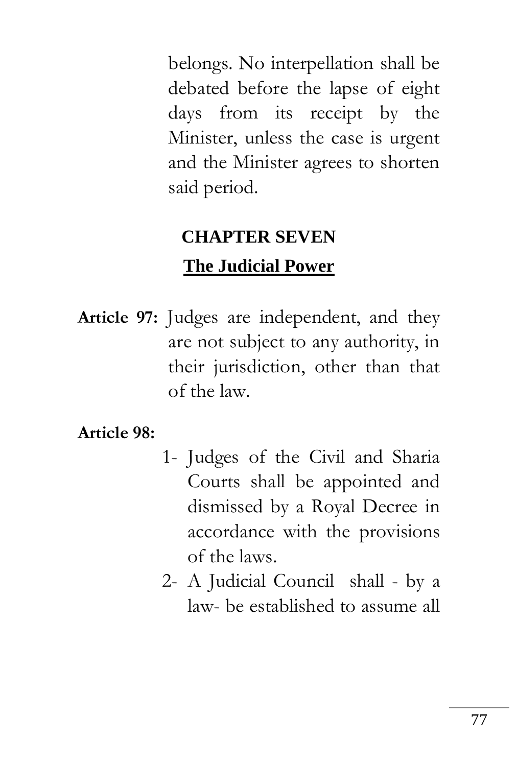belongs. No interpellation shall be debated before the lapse of eight days from its receipt by the Minister, unless the case is urgent and the Minister agrees to shorten said period.

# **CHAPTER SEVEN The Judicial Power**

**Article 97:** Judges are independent, and they are not subject to any authority, in their jurisdiction, other than that of the law.

**Article 98:** 

- 1- Judges of the Civil and Sharia Courts shall be appointed and dismissed by a Royal Decree in accordance with the provisions of the laws.
- 2- A Judicial Council shall by a law- be established to assume all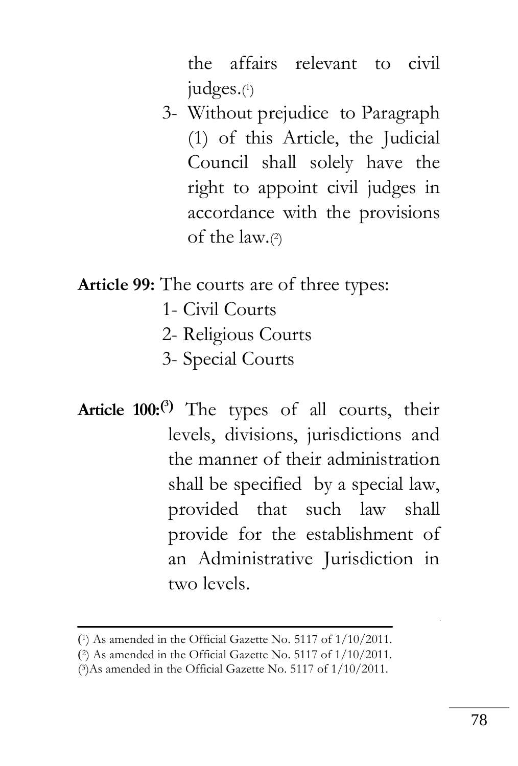the affairs relevant to civil judges.( 1 )

3- Without prejudice to Paragraph (1) of this Article, the Judicial Council shall solely have the right to appoint civil judges in accordance with the provisions of the law.( 2 )

**Article 99:** The courts are of three types:

- 1- Civil Courts
- 2- Religious Courts
- 3- Special Courts
- **Article 100:( <sup>3</sup>)** The types of all courts, their levels, divisions, jurisdictions and the manner of their administration shall be specified by a special law, provided that such law shall provide for the establishment of an Administrative Jurisdiction in two levels.

<sup>)</sup> <sup>1</sup>) As amended in the Official Gazette No. 5117 of 1/10/2011.

<sup>)</sup> <sup>2</sup>) As amended in the Official Gazette No. 5117 of 1/10/2011.

<sup>(</sup> 3)As amended in the Official Gazette No. 5117 of 1/10/2011.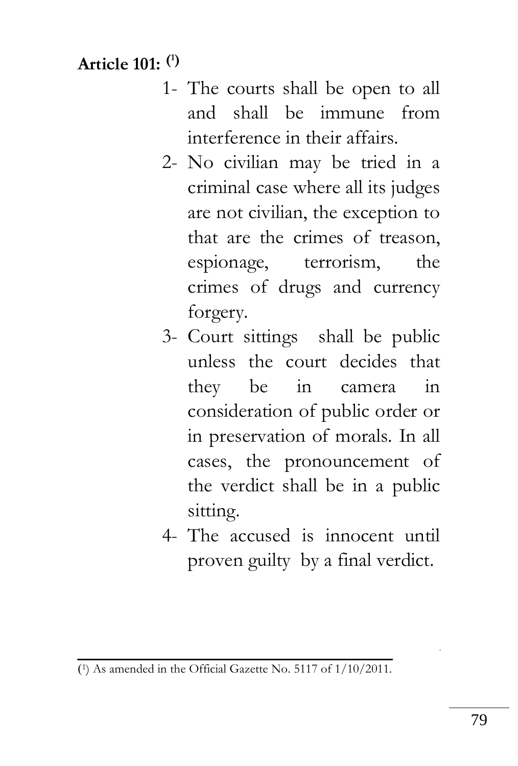# **Article 101: ( 1)**

- 1- The courts shall be open to all and shall be immune from interference in their affairs.
- 2- No civilian may be tried in a criminal case where all its judges are not civilian, the exception to that are the crimes of treason, espionage, terrorism, the crimes of drugs and currency forgery.
- 3- Court sittings shall be public unless the court decides that they be in camera in consideration of public order or in preservation of morals. In all cases, the pronouncement of the verdict shall be in a public sitting.
- 4- The accused is innocent until proven guilty by a final verdict.

<sup>)</sup> 1) As amended in the Official Gazette No. 5117 of 1/10/2011.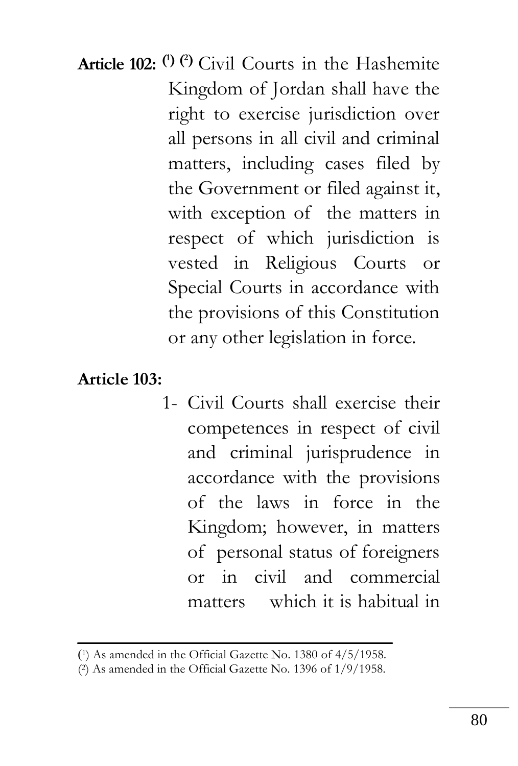**Article 102: ( <sup>1</sup>) (2)** Civil Courts in the Hashemite Kingdom of Jordan shall have the right to exercise jurisdiction over all persons in all civil and criminal matters, including cases filed by the Government or filed against it, with exception of the matters in respect of which jurisdiction is vested in Religious Courts or Special Courts in accordance with the provisions of this Constitution or any other legislation in force.

**Article 103:**

1- Civil Courts shall exercise their competences in respect of civil and criminal jurisprudence in accordance with the provisions of the laws in force in the Kingdom; however, in matters of personal status of foreigners or in civil and commercial matters which it is habitual in

<sup>)</sup> <sup>1</sup>) As amended in the Official Gazette No. 1380 of 4/5/1958.

<sup>(</sup> <sup>2</sup>) As amended in the Official Gazette No. 1396 of 1/9/1958.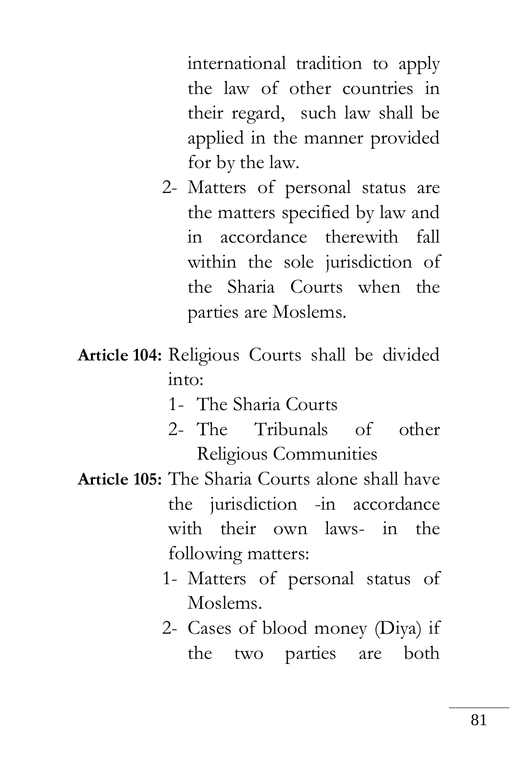international tradition to apply the law of other countries in their regard, such law shall be applied in the manner provided for by the law.

- 2- Matters of personal status are the matters specified by law and in accordance therewith fall within the sole jurisdiction of the Sharia Courts when the parties are Moslems.
- **Article 104:** Religious Courts shall be divided into:
	- 1- The Sharia Courts
	- 2- The Tribunals of other Religious Communities
- **Article 105:** The Sharia Courts alone shall have the jurisdiction -in accordance with their own laws- in the following matters:
	- 1- Matters of personal status of Moslems.
	- 2- Cases of blood money (Diya) if the two parties are both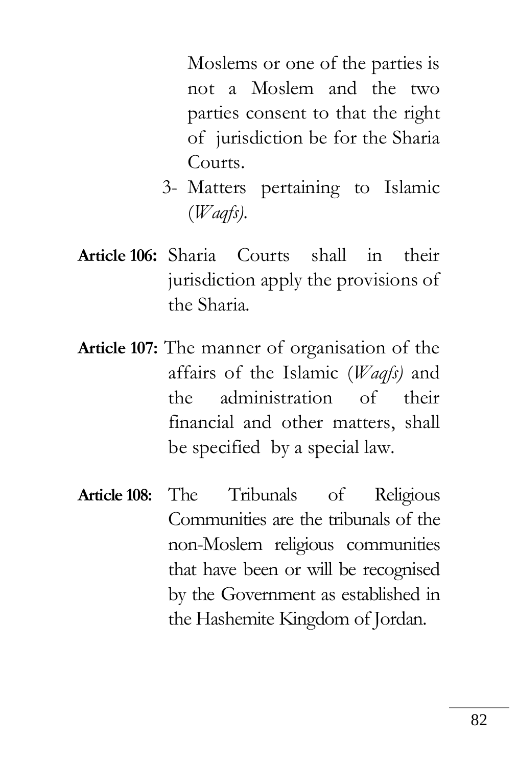Moslems or one of the parties is not a Moslem and the two parties consent to that the right of jurisdiction be for the Sharia Courts.

- 3- Matters pertaining to Islamic (*Waqfs).*
- **Article 106:** Sharia Courts shall in their jurisdiction apply the provisions of the Sharia.
- **Article 107:** The manner of organisation of the affairs of the Islamic (*Waqfs)* and the administration of their financial and other matters, shall be specified by a special law.
- **Article 108:** The Tribunals of Religious Communities are the tribunals of the non-Moslem religious communities that have been or will be recognised by the Government as established in the Hashemite Kingdom of Jordan.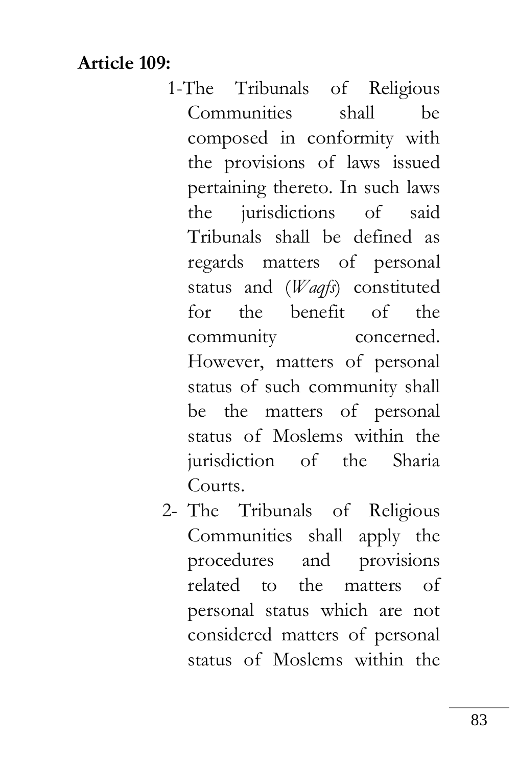### **Article 109:**

- 1-The Tribunals of Religious Communities shall be composed in conformity with the provisions of laws issued pertaining thereto. In such laws the jurisdictions of said Tribunals shall be defined as regards matters of personal status and (*Waqfs*) constituted for the benefit of the community concerned. However, matters of personal status of such community shall be the matters of personal status of Moslems within the jurisdiction of the Sharia Courts.
- 2- The Tribunals of Religious Communities shall apply the procedures and provisions related to the matters of personal status which are not considered matters of personal status of Moslems within the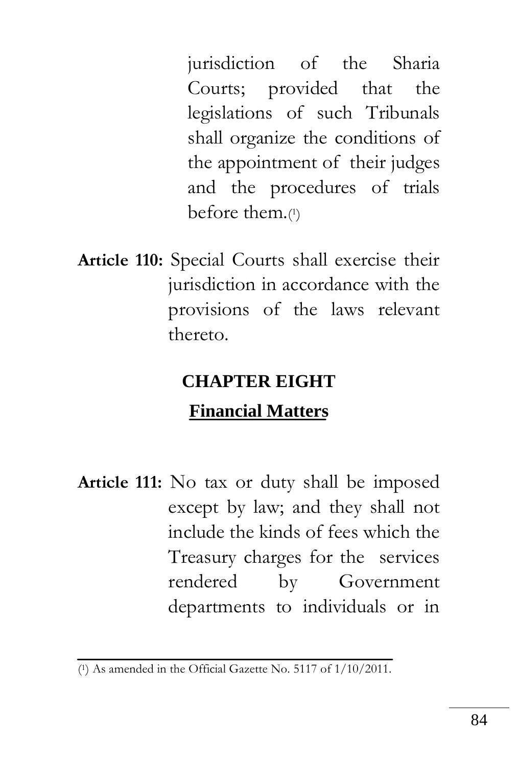jurisdiction of the Sharia Courts; provided that the legislations of such Tribunals shall organize the conditions of the appointment of their judges and the procedures of trials before them.( 1 )

**Article 110:** Special Courts shall exercise their jurisdiction in accordance with the provisions of the laws relevant thereto.

# **CHAPTER EIGHT**

### **Financial Matters**

**Article 111:** No tax or duty shall be imposed except by law; and they shall not include the kinds of fees which the Treasury charges for the services rendered by Government departments to individuals or in

<sup>(</sup> <sup>1</sup>) As amended in the Official Gazette No. 5117 of 1/10/2011.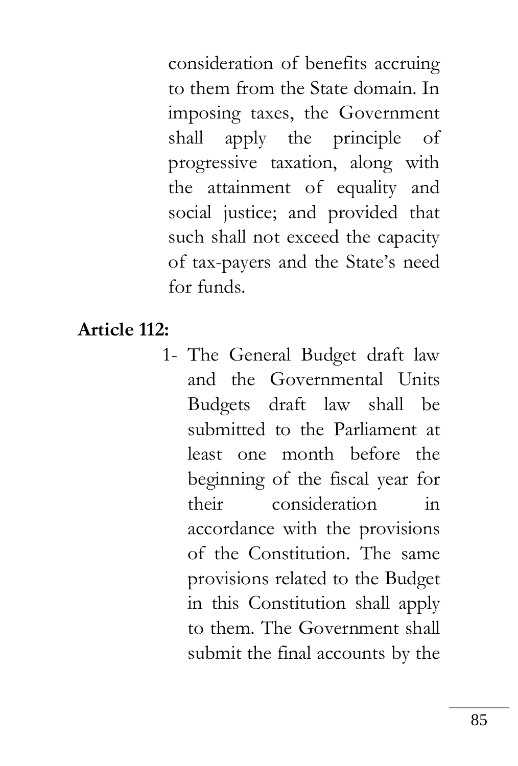consideration of benefits accruing to them from the State domain. In imposing taxes, the Government shall apply the principle of progressive taxation, along with the attainment of equality and social justice; and provided that such shall not exceed the capacity of tax-payers and the State's need for funds.

#### **Article 112:**

1- The General Budget draft law and the Governmental Units Budgets draft law shall be submitted to the Parliament at least one month before the beginning of the fiscal year for their consideration in accordance with the provisions of the Constitution. The same provisions related to the Budget in this Constitution shall apply to them. The Government shall submit the final accounts by the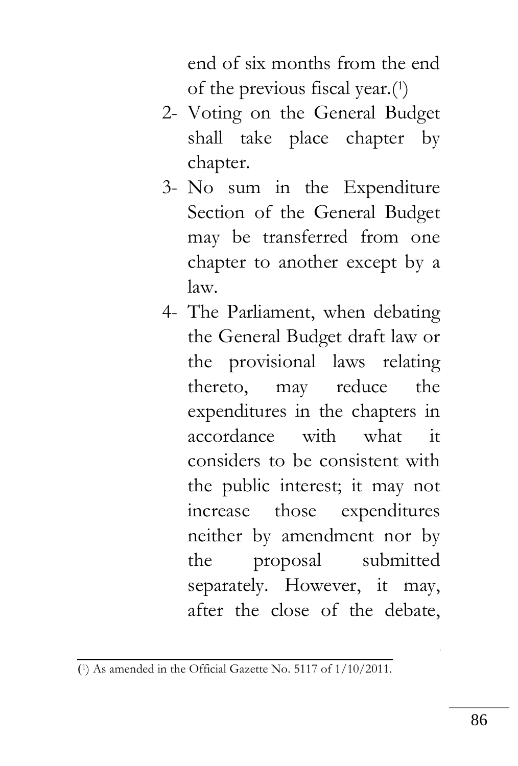end of six months from the end of the previous fiscal year.(<sup>1</sup> )

- 2- Voting on the General Budget shall take place chapter by chapter.
- 3- No sum in the Expenditure Section of the General Budget may be transferred from one chapter to another except by a law.
- 4- The Parliament, when debating the General Budget draft law or the provisional laws relating thereto, may reduce the expenditures in the chapters in accordance with what it considers to be consistent with the public interest; it may not increase those expenditures neither by amendment nor by the proposal submitted separately. However, it may, after the close of the debate,

<sup>)</sup> 1) As amended in the Official Gazette No. 5117 of 1/10/2011.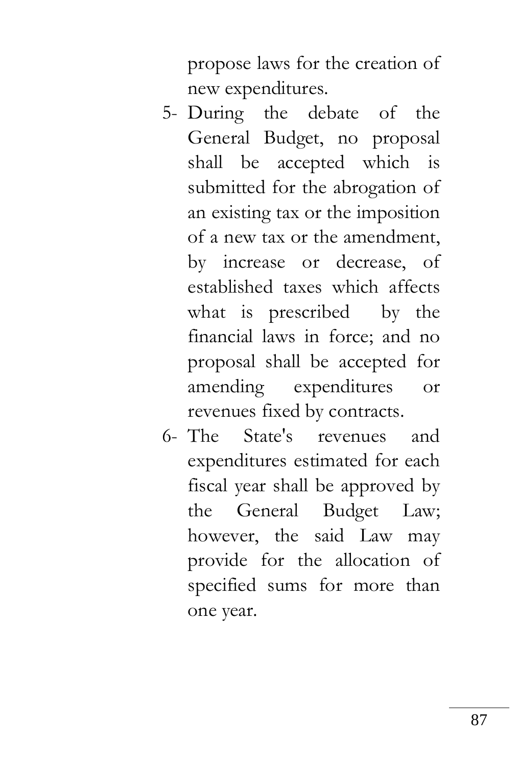propose laws for the creation of new expenditures.

- 5- During the debate of the General Budget, no proposal shall be accepted which is submitted for the abrogation of an existing tax or the imposition of a new tax or the amendment, by increase or decrease, of established taxes which affects what is prescribed by the financial laws in force; and no proposal shall be accepted for amending expenditures or revenues fixed by contracts.
- 6- The State's revenues and expenditures estimated for each fiscal year shall be approved by the General Budget Law; however, the said Law may provide for the allocation of specified sums for more than one year.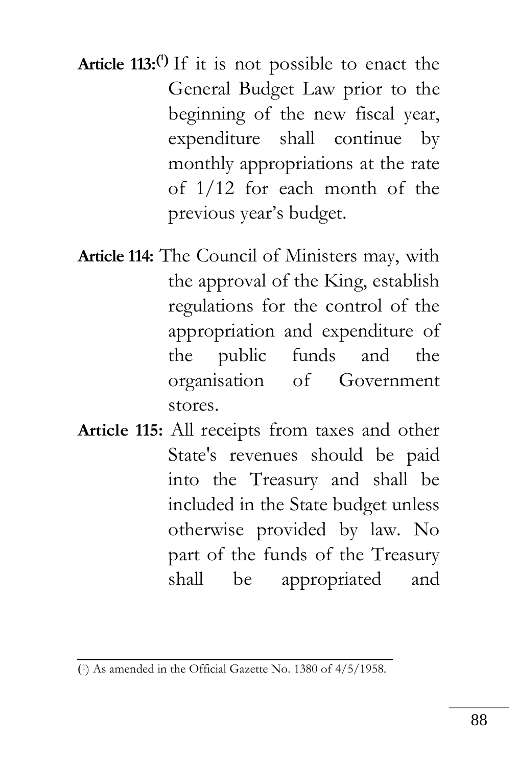**Article 113:( <sup>1</sup>)** If it is not possible to enact the General Budget Law prior to the beginning of the new fiscal year, expenditure shall continue by monthly appropriations at the rate of 1/12 for each month of the previous year's budget.

- **Article 114:** The Council of Ministers may, with the approval of the King, establish regulations for the control of the appropriation and expenditure of the public funds and the organisation of Government stores.
- **Article 115:** All receipts from taxes and other State's revenues should be paid into the Treasury and shall be included in the State budget unless otherwise provided by law. No part of the funds of the Treasury shall be appropriated and

<sup>)</sup> <sup>1</sup>) As amended in the Official Gazette No. 1380 of 4/5/1958.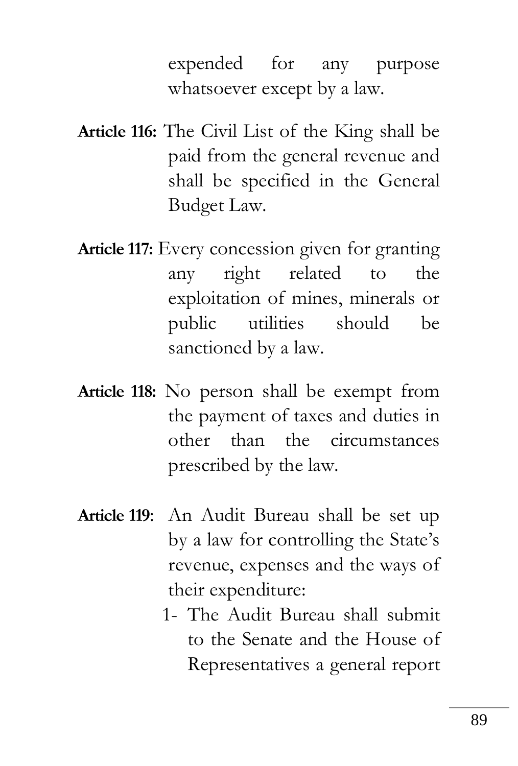expended for any purpose whatsoever except by a law.

- **Article 116:** The Civil List of the King shall be paid from the general revenue and shall be specified in the General Budget Law.
- **Article 117:** Every concession given for granting any right related to the exploitation of mines, minerals or public utilities should be sanctioned by a law.
- **Article 118:** No person shall be exempt from the payment of taxes and duties in other than the circumstances prescribed by the law.
- **Article 119**: An Audit Bureau shall be set up by a law for controlling the State's revenue, expenses and the ways of their expenditure:
	- 1- The Audit Bureau shall submit to the Senate and the House of Representatives a general report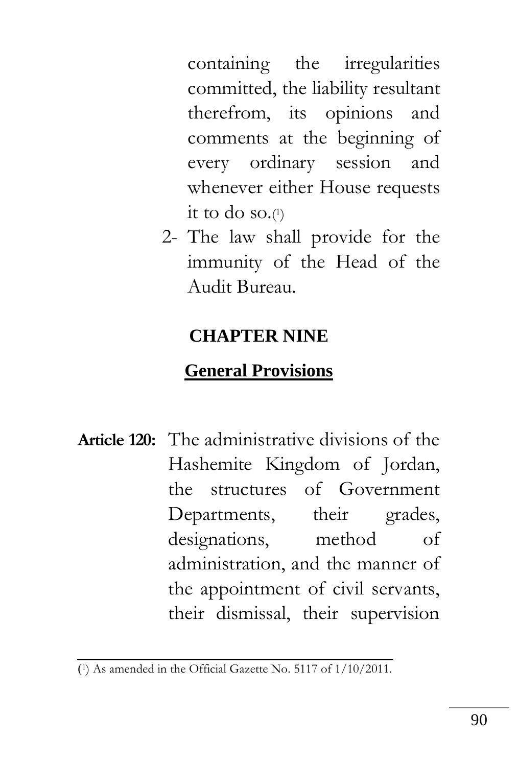containing the irregularities committed, the liability resultant therefrom, its opinions and comments at the beginning of every ordinary session and whenever either House requests it to do so.( 1 )

2- The law shall provide for the immunity of the Head of the Audit Bureau.

### **CHAPTER NINE**

## **General Provisions**

**Article 120:** The administrative divisions of the Hashemite Kingdom of Jordan, the structures of Government Departments, their grades, designations, method of administration, and the manner of the appointment of civil servants, their dismissal, their supervision

<sup>)</sup> 1) As amended in the Official Gazette No. 5117 of 1/10/2011.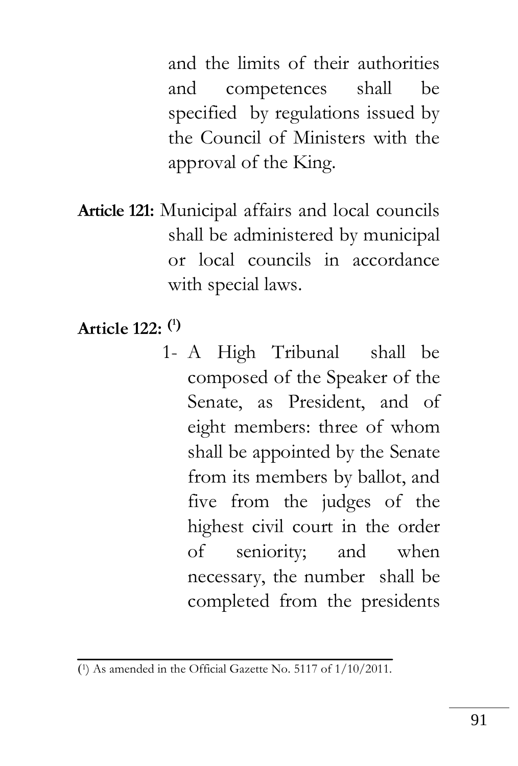and the limits of their authorities and competences shall be specified by regulations issued by the Council of Ministers with the approval of the King.

- **Article 121:** Municipal affairs and local councils shall be administered by municipal or local councils in accordance with special laws.
- **Article 122: ( 1)**
	- 1- A High Tribunal shall be composed of the Speaker of the Senate, as President, and of eight members: three of whom shall be appointed by the Senate from its members by ballot, and five from the judges of the highest civil court in the order of seniority; and when necessary, the number shall be completed from the presidents

<sup>)</sup> 1) As amended in the Official Gazette No. 5117 of 1/10/2011.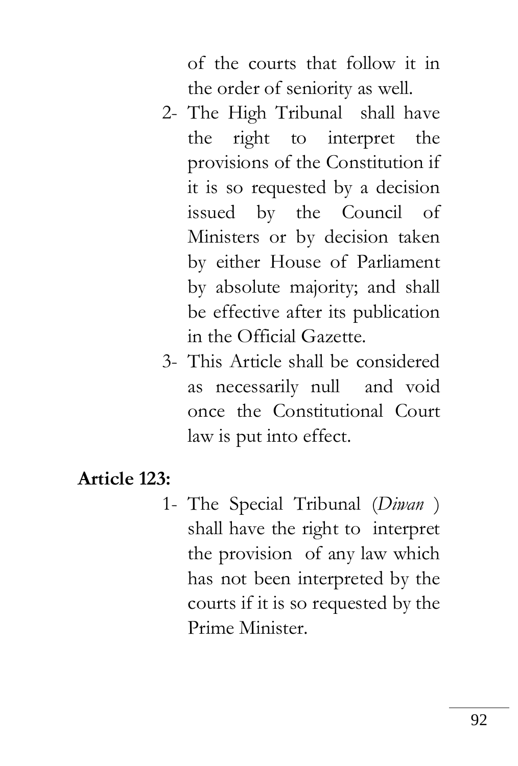of the courts that follow it in the order of seniority as well.

- 2- The High Tribunal shall have the right to interpret the provisions of the Constitution if it is so requested by a decision issued by the Council of Ministers or by decision taken by either House of Parliament by absolute majority; and shall be effective after its publication in the Official Gazette.
- 3- This Article shall be considered as necessarily null and void once the Constitutional Court law is put into effect.

## **Article 123:**

1- The Special Tribunal (*Diwan* ) shall have the right to interpret the provision of any law which has not been interpreted by the courts if it is so requested by the Prime Minister.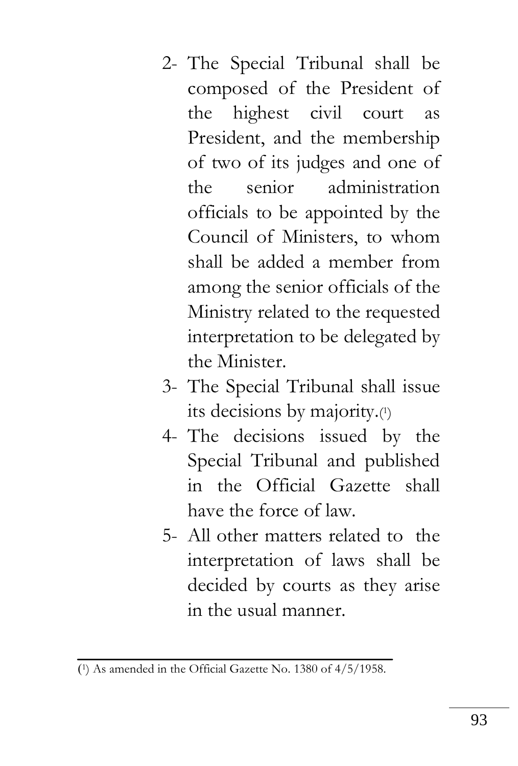- 2- The Special Tribunal shall be composed of the President of the highest civil court as President, and the membership of two of its judges and one of the senior administration officials to be appointed by the Council of Ministers, to whom shall be added a member from among the senior officials of the Ministry related to the requested interpretation to be delegated by the Minister.
- 3- The Special Tribunal shall issue its decisions by majority.( 1 )
- 4- The decisions issued by the Special Tribunal and published in the Official Gazette shall have the force of law.
- 5- All other matters related to the interpretation of laws shall be decided by courts as they arise in the usual manner.

<sup>)</sup> 1) As amended in the Official Gazette No. 1380 of 4/5/1958.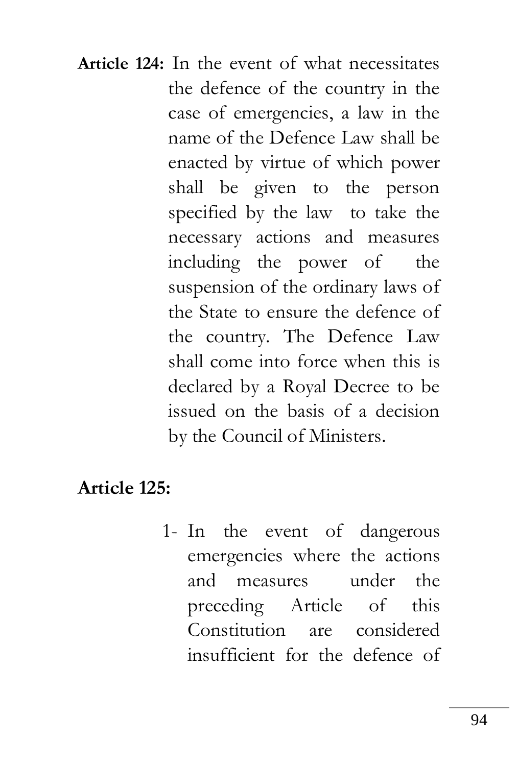**Article 124:** In the event of what necessitates the defence of the country in the case of emergencies, a law in the name of the Defence Law shall be enacted by virtue of which power shall be given to the person specified by the law to take the necessary actions and measures including the power of the suspension of the ordinary laws of the State to ensure the defence of the country. The Defence Law shall come into force when this is declared by a Royal Decree to be issued on the basis of a decision by the Council of Ministers.

### **Article 125:**

1- In the event of dangerous emergencies where the actions and measures under the preceding Article of this Constitution are considered insufficient for the defence of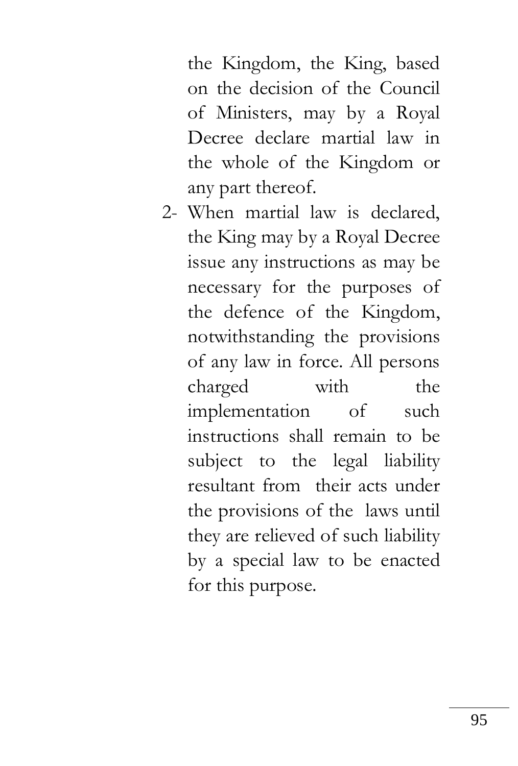the Kingdom, the King, based on the decision of the Council of Ministers, may by a Royal Decree declare martial law in the whole of the Kingdom or any part thereof.

2- When martial law is declared, the King may by a Royal Decree issue any instructions as may be necessary for the purposes of the defence of the Kingdom, notwithstanding the provisions of any law in force. All persons charged with the implementation of such instructions shall remain to be subject to the legal liability resultant from their acts under the provisions of the laws until they are relieved of such liability by a special law to be enacted for this purpose.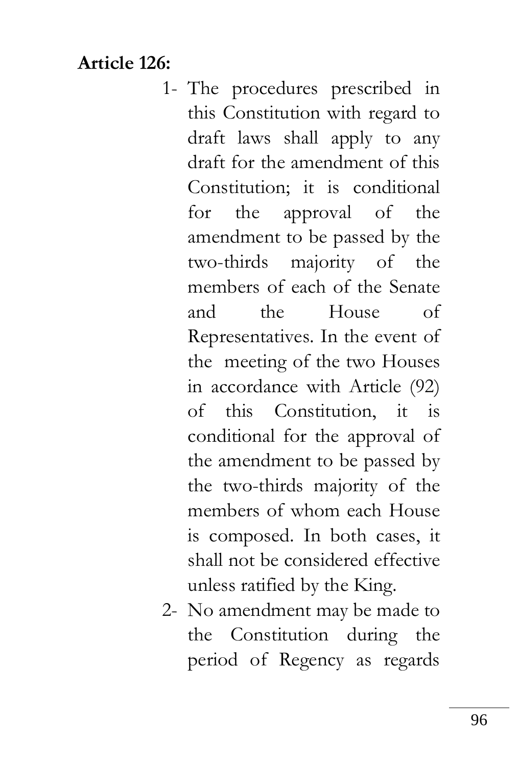## **Article 126:**

- 1- The procedures prescribed in this Constitution with regard to draft laws shall apply to any draft for the amendment of this Constitution; it is conditional for the approval of the amendment to be passed by the two-thirds majority of the members of each of the Senate and the House of Representatives. In the event of the meeting of the two Houses in accordance with Article (92) of this Constitution, it is conditional for the approval of the amendment to be passed by the two-thirds majority of the members of whom each House is composed. In both cases, it shall not be considered effective unless ratified by the King.
- 2- No amendment may be made to the Constitution during the period of Regency as regards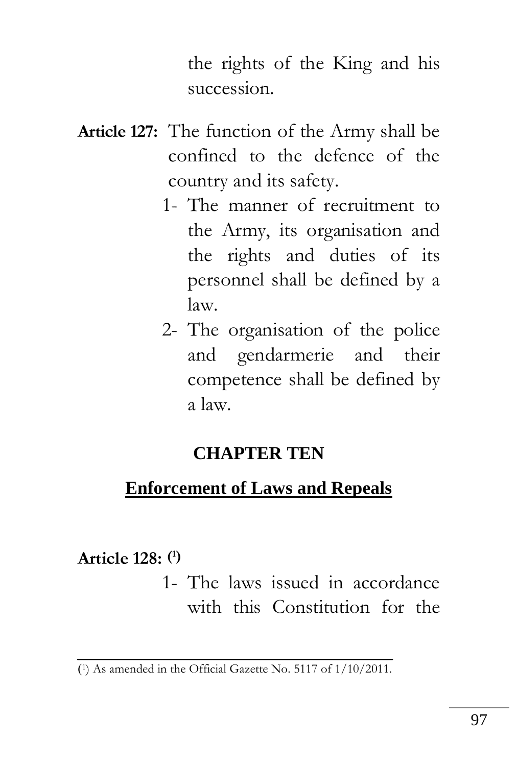the rights of the King and his succession.

- **Article 127:** The function of the Army shall be confined to the defence of the country and its safety.
	- 1- The manner of recruitment to the Army, its organisation and the rights and duties of its personnel shall be defined by a law.
	- 2- The organisation of the police and gendarmerie and their competence shall be defined by a law.

#### **CHAPTER TEN**

## **Enforcement of Laws and Repeals**

**Article 128: ( 1)**

1- The laws issued in accordance with this Constitution for the

<sup>)</sup> 1) As amended in the Official Gazette No. 5117 of 1/10/2011.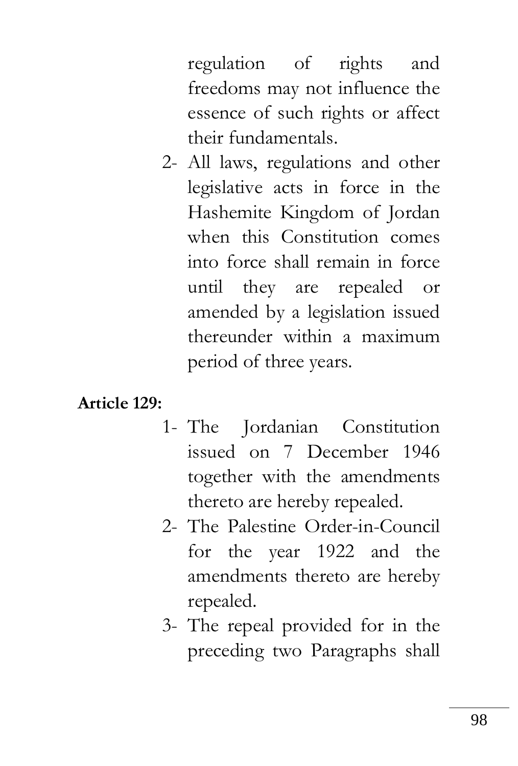regulation of rights and freedoms may not influence the essence of such rights or affect their fundamentals.

2- All laws, regulations and other legislative acts in force in the Hashemite Kingdom of Jordan when this Constitution comes into force shall remain in force until they are repealed or amended by a legislation issued thereunder within a maximum period of three years.

#### **Article 129:**

- 1- The Jordanian Constitution issued on 7 December 1946 together with the amendments thereto are hereby repealed.
- 2- The Palestine Order-in-Council for the year 1922 and the amendments thereto are hereby repealed.
- 3- The repeal provided for in the preceding two Paragraphs shall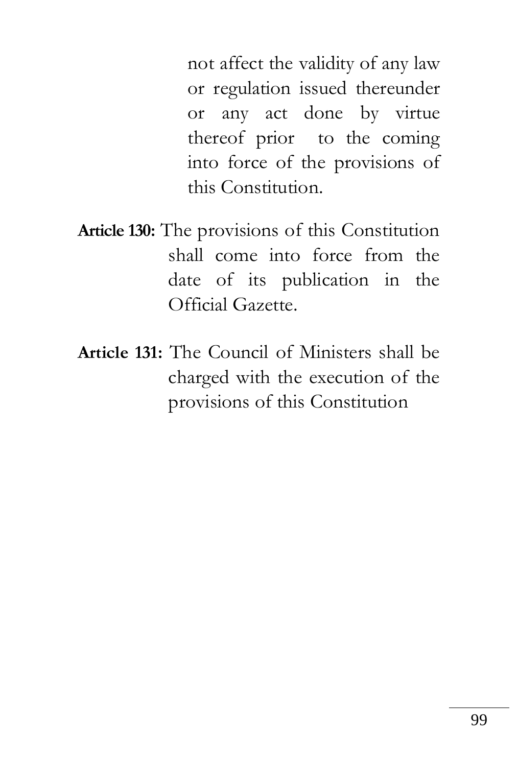not affect the validity of any law or regulation issued thereunder or any act done by virtue thereof prior to the coming into force of the provisions of this Constitution.

- **Article 130:** The provisions of this Constitution shall come into force from the date of its publication in the Official Gazette.
- **Article 131:** The Council of Ministers shall be charged with the execution of the provisions of this Constitution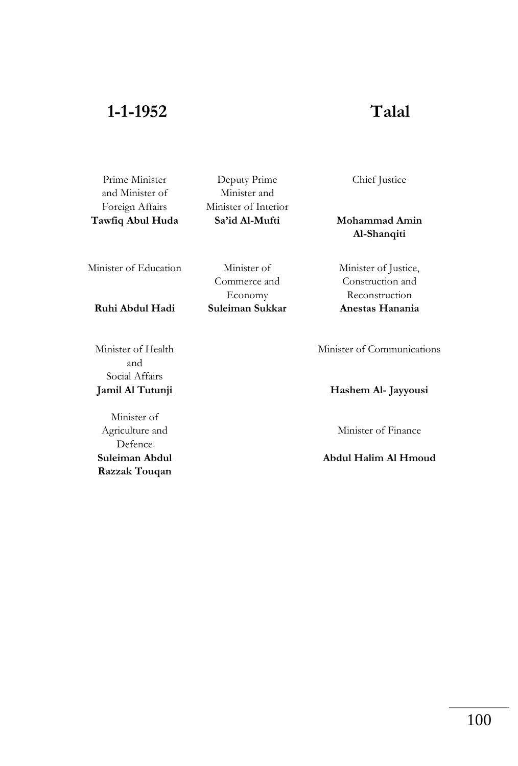#### **1-1-1952 Talal**

Prime Minister and Minister of Foreign Affairs **Tawfiq Abul Huda**

Deputy Prime Minister and Minister of Interior **Sa'id Al-Mufti**

Minister of Education Minister of

Commerce and Economy **Ruhi Abdul Hadi Suleiman Sukkar**  Chief Justice

**Mohammad Amin Al-Shanqiti**

Minister of Justice, Construction and **Reconstruction**<br>**Anestas Hanania** 

Minister of Health and Social Affairs

Minister of Agriculture and Defence **Suleiman Abdul Razzak Touqan** Minister of Communications

**Jamil Al Tutunji Hashem Al- Jayyousi**

Minister of Finance

**Abdul Halim Al Hmoud**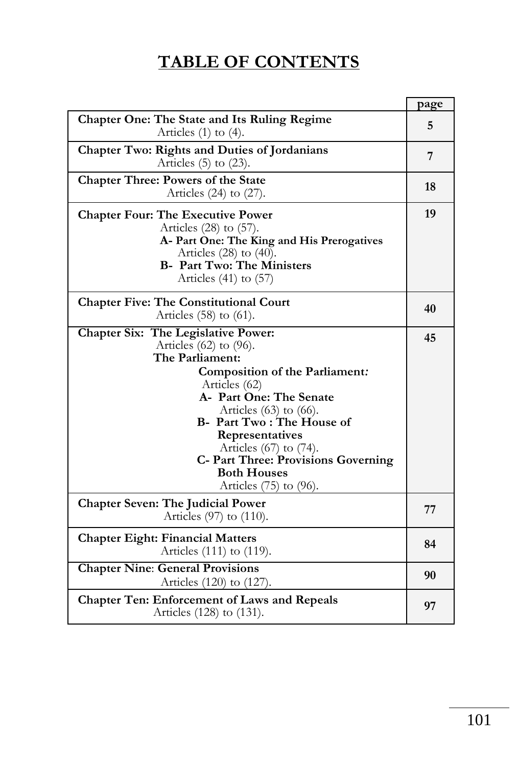# **TABLE OF CONTENTS**

|                                                                                                                                                                                                                                                                                                                                                                     | page |  |  |  |
|---------------------------------------------------------------------------------------------------------------------------------------------------------------------------------------------------------------------------------------------------------------------------------------------------------------------------------------------------------------------|------|--|--|--|
| Chapter One: The State and Its Ruling Regime<br>Articles $(1)$ to $(4)$ .                                                                                                                                                                                                                                                                                           |      |  |  |  |
| Chapter Two: Rights and Duties of Jordanians<br>Articles $(5)$ to $(23)$ .                                                                                                                                                                                                                                                                                          |      |  |  |  |
| Chapter Three: Powers of the State<br>Articles $(24)$ to $(27)$ .                                                                                                                                                                                                                                                                                                   |      |  |  |  |
| <b>Chapter Four: The Executive Power</b><br>Articles $(28)$ to $(57)$ .<br>A- Part One: The King and His Prerogatives<br>Articles $(28)$ to $(40)$ .<br><b>B- Part Two: The Ministers</b><br>Articles $(41)$ to $(57)$                                                                                                                                              | 19   |  |  |  |
|                                                                                                                                                                                                                                                                                                                                                                     |      |  |  |  |
| <b>Chapter Five: The Constitutional Court</b><br>Articles (58) to (61).                                                                                                                                                                                                                                                                                             |      |  |  |  |
| Chapter Six: The Legislative Power:<br>Articles $(62)$ to $(96)$ .<br>The Parliament:<br>Composition of the Parliament:<br>Articles (62)<br>A- Part One: The Senate<br>Articles $(63)$ to $(66)$ .<br>B- Part Two: The House of<br>Representatives<br>Articles (67) to (74).<br>C- Part Three: Provisions Governing<br><b>Both Houses</b><br>Articles (75) to (96). | 45   |  |  |  |
| <b>Chapter Seven: The Judicial Power</b><br>Articles (97) to (110).                                                                                                                                                                                                                                                                                                 |      |  |  |  |
| <b>Chapter Eight: Financial Matters</b><br>Articles (111) to (119).                                                                                                                                                                                                                                                                                                 |      |  |  |  |
| <b>Chapter Nine: General Provisions</b><br>Articles (120) to (127).                                                                                                                                                                                                                                                                                                 |      |  |  |  |
| Chapter Ten: Enforcement of Laws and Repeals<br>Articles (128) to (131).                                                                                                                                                                                                                                                                                            |      |  |  |  |